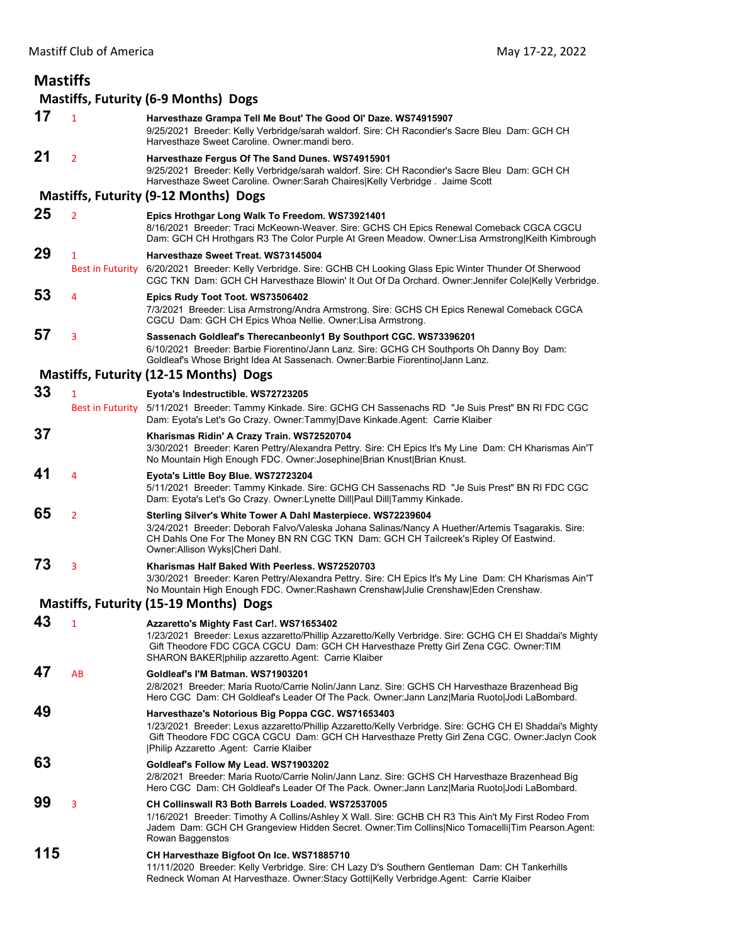| <b>Mastiffs</b> |                                             |                                                                                                                                                                                                                                                                                                          |  |  |  |
|-----------------|---------------------------------------------|----------------------------------------------------------------------------------------------------------------------------------------------------------------------------------------------------------------------------------------------------------------------------------------------------------|--|--|--|
|                 | <b>Mastiffs, Futurity (6-9 Months) Dogs</b> |                                                                                                                                                                                                                                                                                                          |  |  |  |
| 17              | 1                                           | Harvesthaze Grampa Tell Me Bout' The Good OI' Daze. WS74915907<br>9/25/2021 Breeder: Kelly Verbridge/sarah waldorf. Sire: CH Racondier's Sacre Bleu Dam: GCH CH<br>Harvesthaze Sweet Caroline. Owner: mandi bero.                                                                                        |  |  |  |
| 21              | $\overline{2}$                              | Harvesthaze Fergus Of The Sand Dunes. WS74915901<br>9/25/2021 Breeder: Kelly Verbridge/sarah waldorf. Sire: CH Racondier's Sacre Bleu Dam: GCH CH<br>Harvesthaze Sweet Caroline. Owner: Sarah Chaires Kelly Verbridge. Jaime Scott                                                                       |  |  |  |
|                 |                                             | Mastiffs, Futurity (9-12 Months) Dogs                                                                                                                                                                                                                                                                    |  |  |  |
| 25              | $\overline{2}$                              | Epics Hrothgar Long Walk To Freedom. WS73921401<br>8/16/2021 Breeder: Traci McKeown-Weaver. Sire: GCHS CH Epics Renewal Comeback CGCA CGCU<br>Dam: GCH CH Hrothgars R3 The Color Purple At Green Meadow. Owner:Lisa Armstrong Keith Kimbrough                                                            |  |  |  |
| 29              | 1<br><b>Best in Futurity</b>                | Harvesthaze Sweet Treat, WS73145004<br>6/20/2021 Breeder: Kelly Verbridge. Sire: GCHB CH Looking Glass Epic Winter Thunder Of Sherwood<br>CGC TKN Dam: GCH CH Harvesthaze Blowin' It Out Of Da Orchard. Owner: Jennifer Cole Kelly Verbridge.                                                            |  |  |  |
| 53              | 4                                           | Epics Rudy Toot Toot. WS73506402<br>7/3/2021 Breeder: Lisa Armstrong/Andra Armstrong. Sire: GCHS CH Epics Renewal Comeback CGCA<br>CGCU Dam: GCH CH Epics Whoa Nellie. Owner: Lisa Armstrong.                                                                                                            |  |  |  |
| 57              | 3                                           | Sassenach Goldleaf's Therecanbeonly1 By Southport CGC. WS73396201<br>6/10/2021 Breeder: Barbie Fiorentino/Jann Lanz. Sire: GCHG CH Southports Oh Danny Boy Dam:<br>Goldleaf's Whose Bright Idea At Sassenach. Owner: Barbie Fiorentino Jann Lanz.                                                        |  |  |  |
|                 |                                             | Mastiffs, Futurity (12-15 Months) Dogs                                                                                                                                                                                                                                                                   |  |  |  |
| 33              | $\overline{1}$                              | Eyota's Indestructible. WS72723205                                                                                                                                                                                                                                                                       |  |  |  |
|                 | <b>Best in Futurity</b>                     | 5/11/2021 Breeder: Tammy Kinkade. Sire: GCHG CH Sassenachs RD "Je Suis Prest" BN RI FDC CGC<br>Dam: Eyota's Let's Go Crazy. Owner:Tammy Dave Kinkade.Agent: Carrie Klaiber                                                                                                                               |  |  |  |
| 37              |                                             | Kharismas Ridin' A Crazy Train. WS72520704<br>3/30/2021 Breeder: Karen Pettry/Alexandra Pettry. Sire: CH Epics It's My Line Dam: CH Kharismas Ain'T<br>No Mountain High Enough FDC. Owner: Josephine Brian Knust   Brian Knust.                                                                          |  |  |  |
| 41              | 4                                           | Eyota's Little Boy Blue. WS72723204<br>5/11/2021 Breeder: Tammy Kinkade. Sire: GCHG CH Sassenachs RD "Je Suis Prest" BN RI FDC CGC<br>Dam: Eyota's Let's Go Crazy. Owner:Lynette Dill Paul Dill Tammy Kinkade.                                                                                           |  |  |  |
| 65              | $\overline{2}$                              | Sterling Silver's White Tower A Dahl Masterpiece. WS72239604<br>3/24/2021 Breeder: Deborah Falvo/Valeska Johana Salinas/Nancy A Huether/Artemis Tsagarakis. Sire:<br>CH Dahls One For The Money BN RN CGC TKN Dam: GCH CH Tailcreek's Ripley Of Eastwind.<br>Owner: Allison Wyks Cheri Dahl.             |  |  |  |
| 73              | 3                                           | Kharismas Half Baked With Peerless. WS72520703<br>3/30/2021 Breeder: Karen Pettry/Alexandra Pettry. Sire: CH Epics It's My Line Dam: CH Kharismas Ain'T<br>No Mountain High Enough FDC. Owner:Rashawn Crenshaw Julie Crenshaw Eden Crenshaw.                                                             |  |  |  |
|                 |                                             | Mastiffs, Futurity (15-19 Months) Dogs                                                                                                                                                                                                                                                                   |  |  |  |
| 43              | 1                                           | Azzaretto's Mighty Fast Car!. WS71653402<br>1/23/2021 Breeder: Lexus azzaretto/Phillip Azzaretto/Kelly Verbridge. Sire: GCHG CH El Shaddai's Mighty<br>Gift Theodore FDC CGCA CGCU Dam: GCH CH Harvesthaze Pretty Girl Zena CGC. Owner: TIM<br>SHARON BAKER philip azzaretto.Agent: Carrie Klaiber       |  |  |  |
| 47              | AB                                          | Goldleaf's I'M Batman. WS71903201<br>2/8/2021 Breeder: Maria Ruoto/Carrie Nolin/Jann Lanz. Sire: GCHS CH Harvesthaze Brazenhead Big<br>Hero CGC Dam: CH Goldleaf's Leader Of The Pack. Owner: Jann Lanz Maria Ruoto Jodi LaBombard.                                                                      |  |  |  |
| 49              |                                             | Harvesthaze's Notorious Big Poppa CGC. WS71653403<br>1/23/2021 Breeder: Lexus azzaretto/Phillip Azzaretto/Kelly Verbridge. Sire: GCHG CH El Shaddai's Mighty<br>Gift Theodore FDC CGCA CGCU Dam: GCH CH Harvesthaze Pretty Girl Zena CGC. Owner: Jaclyn Cook<br> Philip Azzaretto .Agent: Carrie Klaiber |  |  |  |
| 63              |                                             | Goldleaf's Follow My Lead. WS71903202<br>2/8/2021 Breeder: Maria Ruoto/Carrie Nolin/Jann Lanz. Sire: GCHS CH Harvesthaze Brazenhead Big<br>Hero CGC Dam: CH Goldleaf's Leader Of The Pack. Owner: Jann Lanz Maria Ruoto Jodi LaBombard.                                                                  |  |  |  |
| 99              | 3                                           | CH Collinswall R3 Both Barrels Loaded. WS72537005<br>1/16/2021 Breeder: Timothy A Collins/Ashley X Wall. Sire: GCHB CH R3 This Ain't My First Rodeo From<br>Jadem Dam: GCH CH Grangeview Hidden Secret. Owner: Tim Collins Nico Tomacelli Tim Pearson. Agent:<br>Rowan Baggenstos                        |  |  |  |
| 115             |                                             | CH Harvesthaze Bigfoot On Ice. WS71885710<br>11/11/2020 Breeder: Kelly Verbridge. Sire: CH Lazy D's Southern Gentleman Dam: CH Tankerhills<br>Redneck Woman At Harvesthaze. Owner: Stacy Gotti Kelly Verbridge. Agent: Carrie Klaiber                                                                    |  |  |  |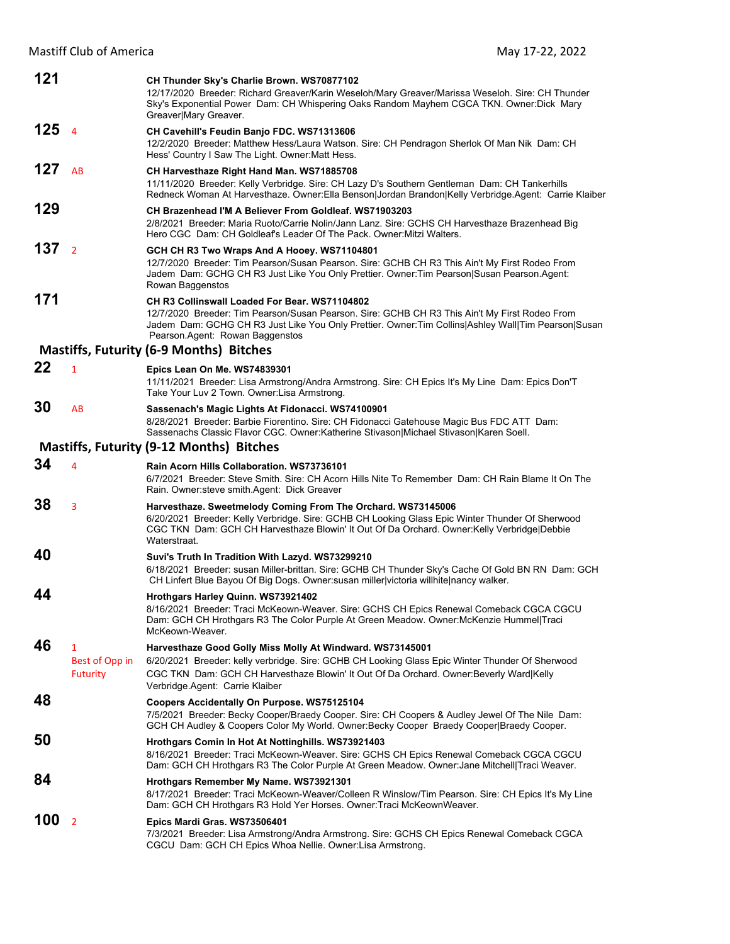| 121 |                                        | CH Thunder Sky's Charlie Brown. WS70877102<br>12/17/2020 Breeder: Richard Greaver/Karin Weseloh/Mary Greaver/Marissa Weseloh. Sire: CH Thunder<br>Sky's Exponential Power Dam: CH Whispering Oaks Random Mayhem CGCA TKN. Owner:Dick Mary<br>Greaver Mary Greaver.                             |
|-----|----------------------------------------|------------------------------------------------------------------------------------------------------------------------------------------------------------------------------------------------------------------------------------------------------------------------------------------------|
| 125 | $\overline{4}$                         | CH Cavehill's Feudin Banjo FDC. WS71313606<br>12/2/2020 Breeder: Matthew Hess/Laura Watson. Sire: CH Pendragon Sherlok Of Man Nik Dam: CH<br>Hess' Country I Saw The Light. Owner: Matt Hess.                                                                                                  |
| 127 | AB                                     | CH Harvesthaze Right Hand Man. WS71885708<br>11/11/2020 Breeder: Kelly Verbridge. Sire: CH Lazy D's Southern Gentleman Dam: CH Tankerhills<br>Redneck Woman At Harvesthaze. Owner: Ella Benson Jordan Brandon Kelly Verbridge. Agent: Carrie Klaiber                                           |
| 129 |                                        | CH Brazenhead I'M A Believer From Goldleaf, WS71903203<br>2/8/2021 Breeder: Maria Ruoto/Carrie Nolin/Jann Lanz. Sire: GCHS CH Harvesthaze Brazenhead Big<br>Hero CGC Dam: CH Goldleaf's Leader Of The Pack. Owner: Mitzi Walters.                                                              |
| 137 | $\overline{2}$                         | GCH CH R3 Two Wraps And A Hooey. WS71104801<br>12/7/2020 Breeder: Tim Pearson/Susan Pearson. Sire: GCHB CH R3 This Ain't My First Rodeo From<br>Jadem Dam: GCHG CH R3 Just Like You Only Prettier. Owner: Tim Pearson Susan Pearson. Agent:<br>Rowan Baggenstos                                |
| 171 |                                        | CH R3 Collinswall Loaded For Bear, WS71104802<br>12/7/2020 Breeder: Tim Pearson/Susan Pearson. Sire: GCHB CH R3 This Ain't My First Rodeo From<br>Jadem Dam: GCHG CH R3 Just Like You Only Prettier. Owner: Tim Collins   Ashley Wall   Tim Pearson   Susan<br>Pearson.Agent: Rowan Baggenstos |
|     |                                        | <b>Mastiffs, Futurity (6-9 Months) Bitches</b>                                                                                                                                                                                                                                                 |
| 22  | $\mathbf{1}$                           | Epics Lean On Me. WS74839301<br>11/11/2021 Breeder: Lisa Armstrong/Andra Armstrong. Sire: CH Epics It's My Line Dam: Epics Don'T<br>Take Your Luv 2 Town. Owner: Lisa Armstrong.                                                                                                               |
| 30  | AB                                     | Sassenach's Magic Lights At Fidonacci. WS74100901<br>8/28/2021 Breeder: Barbie Fiorentino. Sire: CH Fidonacci Gatehouse Magic Bus FDC ATT Dam:<br>Sassenachs Classic Flavor CGC. Owner:Katherine Stivason Michael Stivason Karen Soell.                                                        |
|     |                                        | <b>Mastiffs, Futurity (9-12 Months) Bitches</b>                                                                                                                                                                                                                                                |
| 34  | 4                                      | Rain Acorn Hills Collaboration, WS73736101<br>6/7/2021 Breeder: Steve Smith. Sire: CH Acorn Hills Nite To Remember Dam: CH Rain Blame It On The<br>Rain. Owner: steve smith. Agent: Dick Greaver                                                                                               |
| 38  | 3                                      | Harvesthaze. Sweetmelody Coming From The Orchard. WS73145006<br>6/20/2021 Breeder: Kelly Verbridge. Sire: GCHB CH Looking Glass Epic Winter Thunder Of Sherwood<br>CGC TKN Dam: GCH CH Harvesthaze Blowin' It Out Of Da Orchard. Owner: Kelly Verbridge Debbie<br>Waterstraat.                 |
| 40  |                                        | Suvi's Truth In Tradition With Lazyd. WS73299210<br>6/18/2021 Breeder: susan Miller-brittan. Sire: GCHB CH Thunder Sky's Cache Of Gold BN RN Dam: GCH<br>CH Linfert Blue Bayou Of Big Dogs. Owner: susan miller victoria will hite nancy walker.                                               |
| 44  |                                        | Hrothgars Harley Quinn. WS73921402<br>8/16/2021 Breeder: Traci McKeown-Weaver. Sire: GCHS CH Epics Renewal Comeback CGCA CGCU<br>Dam: GCH CH Hrothgars R3 The Color Purple At Green Meadow. Owner: McKenzie Hummel Traci<br>McKeown-Weaver.                                                    |
| 46  | 1<br>Best of Opp in<br><b>Futurity</b> | Harvesthaze Good Golly Miss Molly At Windward. WS73145001<br>6/20/2021 Breeder: kelly verbridge. Sire: GCHB CH Looking Glass Epic Winter Thunder Of Sherwood<br>CGC TKN Dam: GCH CH Harvesthaze Blowin' It Out Of Da Orchard. Owner:Beverly Ward Kelly<br>Verbridge.Agent: Carrie Klaiber      |
| 48  |                                        | Coopers Accidentally On Purpose. WS75125104<br>7/5/2021 Breeder: Becky Cooper/Braedy Cooper. Sire: CH Coopers & Audley Jewel Of The Nile Dam:<br>GCH CH Audley & Coopers Color My World. Owner: Becky Cooper Braedy Cooper Braedy Cooper.                                                      |
| 50  |                                        | Hrothgars Comin In Hot At Nottinghills. WS73921403<br>8/16/2021 Breeder: Traci McKeown-Weaver. Sire: GCHS CH Epics Renewal Comeback CGCA CGCU<br>Dam: GCH CH Hrothgars R3 The Color Purple At Green Meadow. Owner: Jane Mitchell Traci Weaver.                                                 |
| 84  |                                        | Hrothgars Remember My Name. WS73921301<br>8/17/2021 Breeder: Traci McKeown-Weaver/Colleen R Winslow/Tim Pearson. Sire: CH Epics It's My Line<br>Dam: GCH CH Hrothgars R3 Hold Yer Horses. Owner: Traci McKeownWeaver.                                                                          |
| 100 | $\overline{2}$                         | Epics Mardi Gras. WS73506401<br>7/3/2021 Breeder: Lisa Armstrong/Andra Armstrong. Sire: GCHS CH Epics Renewal Comeback CGCA<br>CGCU Dam: GCH CH Epics Whoa Nellie. Owner: Lisa Armstrong.                                                                                                      |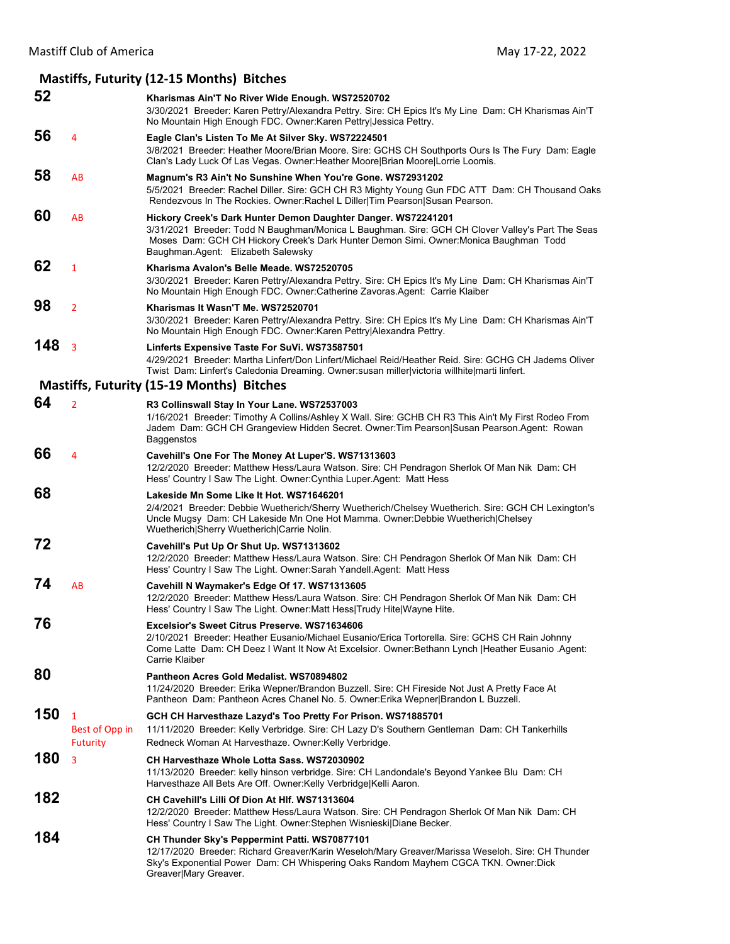### **Mastiffs, Futurity (12‐15 Months) Bitches 52 Kharismas Ain'T No River Wide Enough. WS72520702** 3/30/2021 Breeder: Karen Pettry/Alexandra Pettry. Sire: CH Epics It's My Line Dam: CH Kharismas Ain'T No Mountain High Enough FDC. Owner:Karen Pettry|Jessica Pettry. **56** <sup>4</sup> **Eagle Clan's Listen To Me At Silver Sky. WS72224501** 3/8/2021 Breeder: Heather Moore/Brian Moore. Sire: GCHS CH Southports Ours Is The Fury Dam: Eagle Clan's Lady Luck Of Las Vegas. Owner:Heather Moore|Brian Moore|Lorrie Loomis. **58** AB **Magnum's R3 Ain't No Sunshine When You're Gone. WS72931202** 5/5/2021 Breeder: Rachel Diller. Sire: GCH CH R3 Mighty Young Gun FDC ATT Dam: CH Thousand Oaks Rendezvous In The Rockies. Owner:Rachel L Diller|Tim Pearson|Susan Pearson. **60** AB **Hickory Creek's Dark Hunter Demon Daughter Danger. WS72241201** 3/31/2021 Breeder: Todd N Baughman/Monica L Baughman. Sire: GCH CH Clover Valley's Part The Seas Moses Dam: GCH CH Hickory Creek's Dark Hunter Demon Simi. Owner:Monica Baughman Todd Baughman.Agent: Elizabeth Salewsky **62** <sup>1</sup> **Kharisma Avalon's Belle Meade. WS72520705** 3/30/2021 Breeder: Karen Pettry/Alexandra Pettry. Sire: CH Epics It's My Line Dam: CH Kharismas Ain'T No Mountain High Enough FDC. Owner:Catherine Zavoras.Agent: Carrie Klaiber **98** <sup>2</sup> **Kharismas It Wasn'T Me. WS72520701** 3/30/2021 Breeder: Karen Pettry/Alexandra Pettry. Sire: CH Epics It's My Line Dam: CH Kharismas Ain'T No Mountain High Enough FDC. Owner:Karen Pettry|Alexandra Pettry. **148** <sup>3</sup> **Linferts Expensive Taste For SuVi. WS73587501** 4/29/2021 Breeder: Martha Linfert/Don Linfert/Michael Reid/Heather Reid. Sire: GCHG CH Jadems Oliver Twist Dam: Linfert's Caledonia Dreaming. Owner:susan miller|victoria willhite|marti linfert. **Mastiffs, Futurity (15‐19 Months) Bitches 64** <sup>2</sup> **R3 Collinswall Stay In Your Lane. WS72537003** 1/16/2021 Breeder: Timothy A Collins/Ashley X Wall. Sire: GCHB CH R3 This Ain't My First Rodeo From Jadem Dam: GCH CH Grangeview Hidden Secret. Owner:Tim Pearson|Susan Pearson.Agent: Rowan **Baggenstos 66** <sup>4</sup> **Cavehill's One For The Money At Luper'S. WS71313603** 12/2/2020 Breeder: Matthew Hess/Laura Watson. Sire: CH Pendragon Sherlok Of Man Nik Dam: CH Hess' Country I Saw The Light. Owner:Cynthia Luper.Agent: Matt Hess **68 Lakeside Mn Some Like It Hot. WS71646201** 2/4/2021 Breeder: Debbie Wuetherich/Sherry Wuetherich/Chelsey Wuetherich. Sire: GCH CH Lexington's Uncle Mugsy Dam: CH Lakeside Mn One Hot Mamma. Owner:Debbie Wuetherich|Chelsey Wuetherich|Sherry Wuetherich|Carrie Nolin. **72 Cavehill's Put Up Or Shut Up. WS71313602** 12/2/2020 Breeder: Matthew Hess/Laura Watson. Sire: CH Pendragon Sherlok Of Man Nik Dam: CH Hess' Country I Saw The Light. Owner:Sarah Yandell.Agent: Matt Hess **74** AB **Cavehill N Waymaker's Edge Of 17. WS71313605** 12/2/2020 Breeder: Matthew Hess/Laura Watson. Sire: CH Pendragon Sherlok Of Man Nik Dam: CH Hess' Country I Saw The Light. Owner:Matt Hess|Trudy Hite|Wayne Hite. **76 Excelsior's Sweet Citrus Preserve. WS71634606** 2/10/2021 Breeder: Heather Eusanio/Michael Eusanio/Erica Tortorella. Sire: GCHS CH Rain Johnny Come Latte Dam: CH Deez I Want It Now At Excelsior. Owner:Bethann Lynch |Heather Eusanio .Agent: Carrie Klaiber **80 Pantheon Acres Gold Medalist. WS70894802** 11/24/2020 Breeder: Erika Wepner/Brandon Buzzell. Sire: CH Fireside Not Just A Pretty Face At Pantheon Dam: Pantheon Acres Chanel No. 5. Owner:Erika Wepner|Brandon L Buzzell. **150** <sup>1</sup> **GCH CH Harvesthaze Lazyd's Too Pretty For Prison. WS71885701** Best of Opp in 11/11/2020 Breeder: Kelly Verbridge. Sire: CH Lazy D's Southern Gentleman Dam: CH Tankerhills Futurity Redneck Woman At Harvesthaze. Owner:Kelly Verbridge. **180** <sup>3</sup> **CH Harvesthaze Whole Lotta Sass. WS72030902** 11/13/2020 Breeder: kelly hinson verbridge. Sire: CH Landondale's Beyond Yankee Blu Dam: CH Harvesthaze All Bets Are Off. Owner:Kelly Verbridge|Kelli Aaron. **182 CH Cavehill's Lilli Of Dion At Hlf. WS71313604** 12/2/2020 Breeder: Matthew Hess/Laura Watson. Sire: CH Pendragon Sherlok Of Man Nik Dam: CH Hess' Country I Saw The Light. Owner:Stephen Wisnieski|Diane Becker. **184 CH Thunder Sky's Peppermint Patti. WS70877101** 12/17/2020 Breeder: Richard Greaver/Karin Weseloh/Mary Greaver/Marissa Weseloh. Sire: CH Thunder Sky's Exponential Power Dam: CH Whispering Oaks Random Mayhem CGCA TKN. Owner:Dick Greaver|Mary Greaver.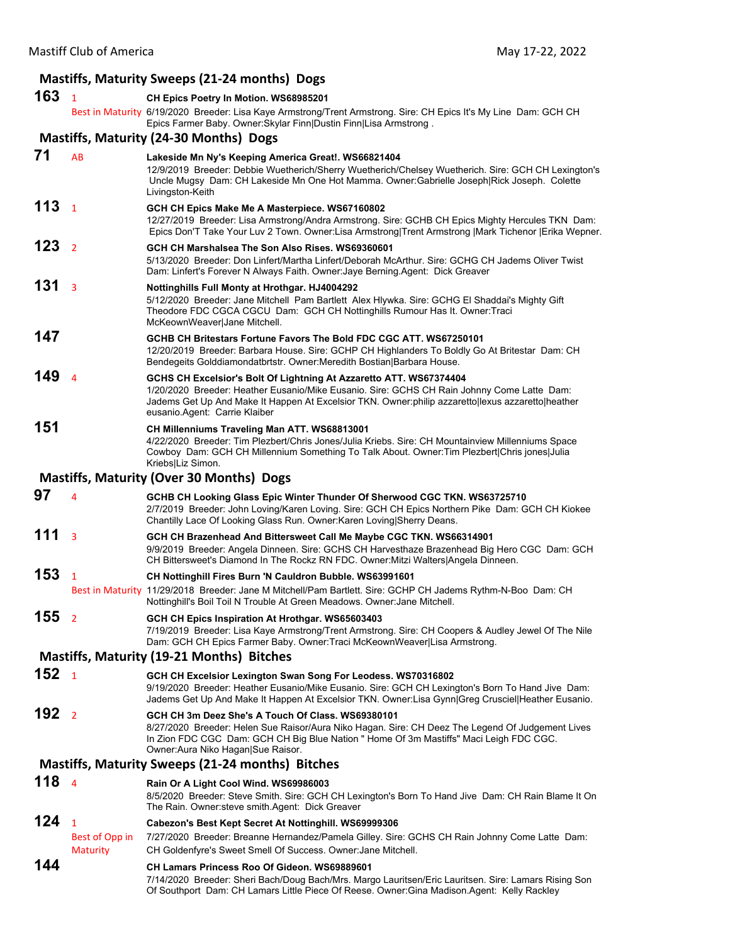## Mastiff Club of America May 17‐22, 2022 **Mastiffs, Maturity Sweeps (21‐24 months) Dogs 163** <sup>1</sup> **CH Epics Poetry In Motion. WS68985201** Best in Maturity 6/19/2020 Breeder: Lisa Kaye Armstrong/Trent Armstrong. Sire: CH Epics It's My Line Dam: GCH CH Epics Farmer Baby. Owner:Skylar Finn|Dustin Finn|Lisa Armstrong . **Mastiffs, Maturity (24‐30 Months) Dogs 71** AB **Lakeside Mn Ny's Keeping America Great!. WS66821404** 12/9/2019 Breeder: Debbie Wuetherich/Sherry Wuetherich/Chelsey Wuetherich. Sire: GCH CH Lexington's Uncle Mugsy Dam: CH Lakeside Mn One Hot Mamma. Owner:Gabrielle Joseph|Rick Joseph. Colette Livingston-Keith **113** <sup>1</sup> **GCH CH Epics Make Me A Masterpiece. WS67160802** 12/27/2019 Breeder: Lisa Armstrong/Andra Armstrong. Sire: GCHB CH Epics Mighty Hercules TKN Dam: Epics Don'T Take Your Luv 2 Town. Owner:Lisa Armstrong|Trent Armstrong |Mark Tichenor |Erika Wepner. **123** <sup>2</sup> **GCH CH Marshalsea The Son Also Rises. WS69360601** 5/13/2020 Breeder: Don Linfert/Martha Linfert/Deborah McArthur. Sire: GCHG CH Jadems Oliver Twist Dam: Linfert's Forever N Always Faith. Owner:Jaye Berning.Agent: Dick Greaver **131** <sup>3</sup> **Nottinghills Full Monty at Hrothgar. HJ4004292** 5/12/2020 Breeder: Jane Mitchell Pam Bartlett Alex Hlywka. Sire: GCHG El Shaddai's Mighty Gift Theodore FDC CGCA CGCU Dam: GCH CH Nottinghills Rumour Has It. Owner:Traci McKeownWeaver|Jane Mitchell. **147 GCHB CH Britestars Fortune Favors The Bold FDC CGC ATT. WS67250101** 12/20/2019 Breeder: Barbara House. Sire: GCHP CH Highlanders To Boldly Go At Britestar Dam: CH Bendegeits Golddiamondatbrtstr. Owner:Meredith Bostian|Barbara House. **149** <sup>4</sup> **GCHS CH Excelsior's Bolt Of Lightning At Azzaretto ATT. WS67374404** 1/20/2020 Breeder: Heather Eusanio/Mike Eusanio. Sire: GCHS CH Rain Johnny Come Latte Dam: Jadems Get Up And Make It Happen At Excelsior TKN. Owner:philip azzaretto|lexus azzaretto|heather eusanio.Agent: Carrie Klaiber **151 CH Millenniums Traveling Man ATT. WS68813001** 4/22/2020 Breeder: Tim Plezbert/Chris Jones/Julia Kriebs. Sire: CH Mountainview Millenniums Space Cowboy Dam: GCH CH Millennium Something To Talk About. Owner:Tim Plezbert|Chris jones|Julia Kriebs|Liz Simon. **Mastiffs, Maturity (Over 30 Months) Dogs 97** <sup>4</sup> **GCHB CH Looking Glass Epic Winter Thunder Of Sherwood CGC TKN. WS63725710** 2/7/2019 Breeder: John Loving/Karen Loving. Sire: GCH CH Epics Northern Pike Dam: GCH CH Kiokee Chantilly Lace Of Looking Glass Run. Owner:Karen Loving|Sherry Deans. **111** <sup>3</sup> **GCH CH Brazenhead And Bittersweet Call Me Maybe CGC TKN. WS66314901** 9/9/2019 Breeder: Angela Dinneen. Sire: GCHS CH Harvesthaze Brazenhead Big Hero CGC Dam: GCH CH Bittersweet's Diamond In The Rockz RN FDC. Owner:Mitzi Walters|Angela Dinneen. **153** <sup>1</sup> **CH Nottinghill Fires Burn 'N Cauldron Bubble. WS63991601** Best in Maturity 11/29/2018 Breeder: Jane M Mitchell/Pam Bartlett. Sire: GCHP CH Jadems Rythm-N-Boo Dam: CH Nottinghill's Boil Toil N Trouble At Green Meadows. Owner:Jane Mitchell. **155** <sup>2</sup> **GCH CH Epics Inspiration At Hrothgar. WS65603403** 7/19/2019 Breeder: Lisa Kaye Armstrong/Trent Armstrong. Sire: CH Coopers & Audley Jewel Of The Nile Dam: GCH CH Epics Farmer Baby. Owner:Traci McKeownWeaver|Lisa Armstrong. **Mastiffs, Maturity (19‐21 Months) Bitches 152** <sup>1</sup> **GCH CH Excelsior Lexington Swan Song For Leodess. WS70316802** 9/19/2020 Breeder: Heather Eusanio/Mike Eusanio. Sire: GCH CH Lexington's Born To Hand Jive Dam: Jadems Get Up And Make It Happen At Excelsior TKN. Owner:Lisa Gynn|Greg Crusciel|Heather Eusanio. **192** <sup>2</sup> **GCH CH 3m Deez She's A Touch Of Class. WS69380101** 8/27/2020 Breeder: Helen Sue Raisor/Aura Niko Hagan. Sire: CH Deez The Legend Of Judgement Lives In Zion FDC CGC Dam: GCH CH Big Blue Nation " Home Of 3m Mastiffs" Maci Leigh FDC CGC. Owner:Aura Niko Hagan|Sue Raisor. **Mastiffs, Maturity Sweeps (21‐24 months) Bitches**

# **118** <sup>4</sup> **Rain Or A Light Cool Wind. WS69986003**

8/5/2020 Breeder: Steve Smith. Sire: GCH CH Lexington's Born To Hand Jive Dam: CH Rain Blame It On The Rain. Owner:steve smith.Agent: Dick Greaver

# **124** <sup>1</sup> **Cabezon's Best Kept Secret At Nottinghill. WS69999306**

Best of Opp in 7/27/2020 Breeder: Breanne Hernandez/Pamela Gilley. Sire: GCHS CH Rain Johnny Come Latte Dam: Maturity CH Goldenfyre's Sweet Smell Of Success. Owner:Jane Mitchell.

### **144 CH Lamars Princess Roo Of Gideon. WS69889601**

7/14/2020 Breeder: Sheri Bach/Doug Bach/Mrs. Margo Lauritsen/Eric Lauritsen. Sire: Lamars Rising Son Of Southport Dam: CH Lamars Little Piece Of Reese. Owner:Gina Madison.Agent: Kelly Rackley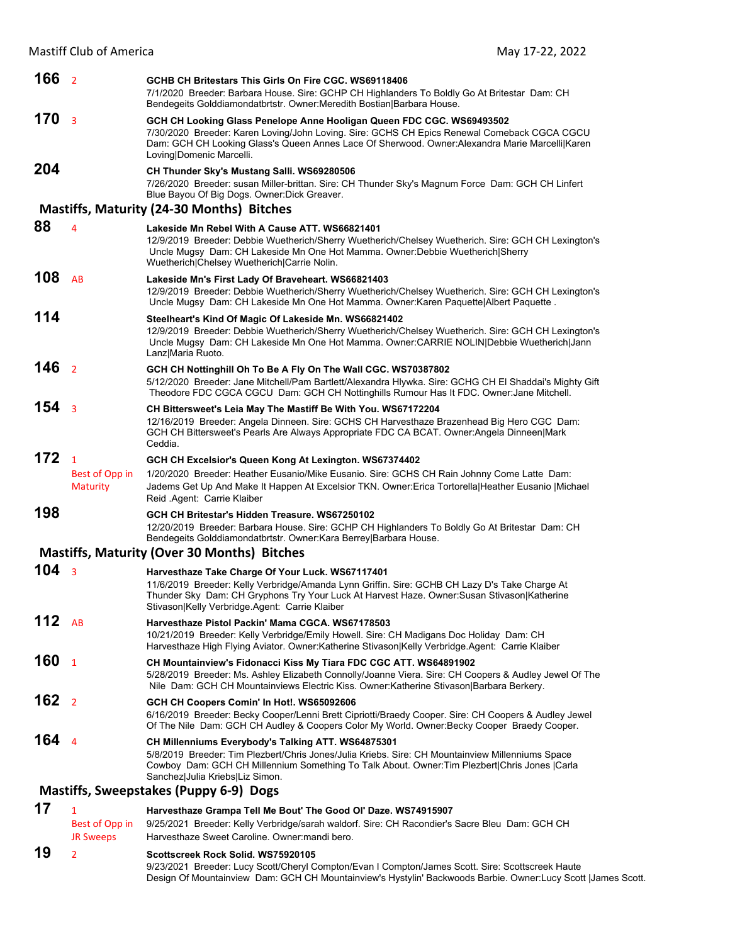| 166 <sub>2</sub> |                                                   | GCHB CH Britestars This Girls On Fire CGC, WS69118406<br>7/1/2020 Breeder: Barbara House. Sire: GCHP CH Highlanders To Boldly Go At Britestar Dam: CH<br>Bendegeits Golddiamondatbrtstr. Owner: Meredith Bostian   Barbara House.                                                                    |
|------------------|---------------------------------------------------|------------------------------------------------------------------------------------------------------------------------------------------------------------------------------------------------------------------------------------------------------------------------------------------------------|
| 170              | $\overline{\mathbf{3}}$                           | GCH CH Looking Glass Penelope Anne Hooligan Queen FDC CGC. WS69493502<br>7/30/2020 Breeder: Karen Loving/John Loving. Sire: GCHS CH Epics Renewal Comeback CGCA CGCU<br>Dam: GCH CH Looking Glass's Queen Annes Lace Of Sherwood. Owner: Alexandra Marie Marcelli Karen<br>Loving Domenic Marcelli.  |
| 204              |                                                   | CH Thunder Sky's Mustang Salli. WS69280506<br>7/26/2020 Breeder: susan Miller-brittan. Sire: CH Thunder Sky's Magnum Force Dam: GCH CH Linfert<br>Blue Bayou Of Big Dogs. Owner: Dick Greaver.                                                                                                       |
|                  |                                                   | <b>Mastiffs, Maturity (24-30 Months) Bitches</b>                                                                                                                                                                                                                                                     |
| 88               | 4                                                 | Lakeside Mn Rebel With A Cause ATT. WS66821401<br>12/9/2019 Breeder: Debbie Wuetherich/Sherry Wuetherich/Chelsey Wuetherich. Sire: GCH CH Lexington's<br>Uncle Mugsy Dam: CH Lakeside Mn One Hot Mamma. Owner:Debbie Wuetherich Sherry<br>Wuetherich Chelsey Wuetherich Carrie Nolin.                |
| 108              | AB                                                | Lakeside Mn's First Lady Of Braveheart. WS66821403<br>12/9/2019 Breeder: Debbie Wuetherich/Sherry Wuetherich/Chelsey Wuetherich. Sire: GCH CH Lexington's<br>Uncle Mugsy Dam: CH Lakeside Mn One Hot Mamma. Owner: Karen Paquette Albert Paquette.                                                   |
| 114              |                                                   | Steelheart's Kind Of Magic Of Lakeside Mn. WS66821402<br>12/9/2019 Breeder: Debbie Wuetherich/Sherry Wuetherich/Chelsey Wuetherich. Sire: GCH CH Lexington's<br>Uncle Mugsy Dam: CH Lakeside Mn One Hot Mamma. Owner:CARRIE NOLIN Debbie Wuetherich Jann<br>Lanz Maria Ruoto.                        |
| 146              | $\overline{2}$                                    | GCH CH Nottinghill Oh To Be A Fly On The Wall CGC. WS70387802<br>5/12/2020 Breeder: Jane Mitchell/Pam Bartlett/Alexandra Hlywka. Sire: GCHG CH El Shaddai's Mighty Gift<br>Theodore FDC CGCA CGCU Dam: GCH CH Nottinghills Rumour Has It FDC. Owner: Jane Mitchell.                                  |
| 154              | $\overline{3}$                                    | CH Bittersweet's Leia May The Mastiff Be With You. WS67172204<br>12/16/2019 Breeder: Angela Dinneen. Sire: GCHS CH Harvesthaze Brazenhead Big Hero CGC Dam:<br>GCH CH Bittersweet's Pearls Are Always Appropriate FDC CA BCAT. Owner:Angela Dinneen Mark<br>Ceddia.                                  |
| 172              | $\mathbf{1}$<br>Best of Opp in<br><b>Maturity</b> | GCH CH Excelsior's Queen Kong At Lexington. WS67374402<br>1/20/2020 Breeder: Heather Eusanio/Mike Eusanio. Sire: GCHS CH Rain Johnny Come Latte Dam:<br>Jadems Get Up And Make It Happen At Excelsior TKN. Owner: Erica Tortorella   Heather Eusanio   Michael                                       |
|                  |                                                   | Reid Agent: Carrie Klaiber                                                                                                                                                                                                                                                                           |
| 198              |                                                   | GCH CH Britestar's Hidden Treasure, WS67250102<br>12/20/2019 Breeder: Barbara House. Sire: GCHP CH Highlanders To Boldly Go At Britestar Dam: CH<br>Bendegeits Golddiamondatbrtstr. Owner: Kara Berrey   Barbara House.                                                                              |
|                  |                                                   | <b>Mastiffs, Maturity (Over 30 Months) Bitches</b>                                                                                                                                                                                                                                                   |
| 104              | $\overline{3}$                                    | Harvesthaze Take Charge Of Your Luck. WS67117401<br>11/6/2019 Breeder: Kelly Verbridge/Amanda Lynn Griffin. Sire: GCHB CH Lazy D's Take Charge At<br>Thunder Sky Dam: CH Gryphons Try Your Luck At Harvest Haze. Owner: Susan Stivason   Katherine<br>Stivason Kelly Verbridge.Agent: Carrie Klaiber |
| 112              | <b>AB</b>                                         | Harvesthaze Pistol Packin' Mama CGCA. WS67178503<br>10/21/2019 Breeder: Kelly Verbridge/Emily Howell. Sire: CH Madigans Doc Holiday Dam: CH<br>Harvesthaze High Flying Aviator. Owner: Katherine Stivason Kelly Verbridge. Agent: Carrie Klaiber                                                     |
| 160              | $\mathbf{1}$                                      | CH Mountainview's Fidonacci Kiss My Tiara FDC CGC ATT. WS64891902<br>5/28/2019 Breeder: Ms. Ashley Elizabeth Connolly/Joanne Viera. Sire: CH Coopers & Audley Jewel Of The<br>Nile Dam: GCH CH Mountainviews Electric Kiss. Owner: Katherine Stivason Barbara Berkery.                               |
| 162              | $\overline{2}$                                    | GCH CH Coopers Comin' In Hot!. WS65092606<br>6/16/2019 Breeder: Becky Cooper/Lenni Brett Cipriotti/Braedy Cooper. Sire: CH Coopers & Audley Jewel<br>Of The Nile Dam: GCH CH Audley & Coopers Color My World. Owner: Becky Cooper Braedy Cooper.                                                     |
| 164              | $\overline{4}$                                    | CH Millenniums Everybody's Talking ATT. WS64875301<br>5/8/2019 Breeder: Tim Plezbert/Chris Jones/Julia Kriebs. Sire: CH Mountainview Millenniums Space<br>Cowboy Dam: GCH CH Millennium Something To Talk About. Owner: Tim Plezbert Chris Jones  Carla<br>Sanchez Julia Kriebs Liz Simon.           |
|                  |                                                   | Mastiffs, Sweepstakes (Puppy 6-9) Dogs                                                                                                                                                                                                                                                               |
| 17               | 1                                                 | Harvesthaze Grampa Tell Me Bout' The Good OI' Daze. WS74915907                                                                                                                                                                                                                                       |
|                  |                                                   | 0/25/2021 Prooder: Kolly Verbridgeleersh wolderf, Sire: CH Pessendier's Seere Play, Dem: CCH CH                                                                                                                                                                                                      |

## Best of Opp in 9/25/2021 Breeder: Kelly Verbridge/sarah waldorf. Sire: CH Racondier's Sacre Bleu Dam: GCH CH JR Sweeps Harvesthaze Sweet Caroline. Owner: mandi bero. **19** <sup>2</sup> **Scottscreek Rock Solid. WS75920105**

9/23/2021 Breeder: Lucy Scott/Cheryl Compton/Evan I Compton/James Scott. Sire: Scottscreek Haute Design Of Mountainview Dam: GCH CH Mountainview's Hystylin' Backwoods Barbie. Owner:Lucy Scott |James Scott.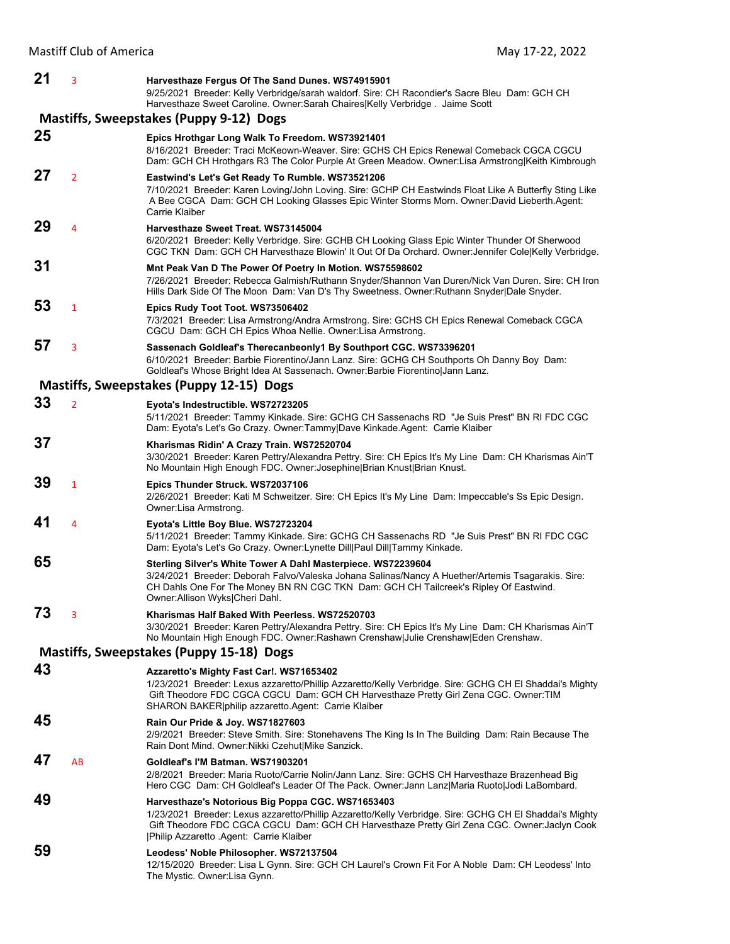| 21 | 3                                                                                                                       | Harvesthaze Fergus Of The Sand Dunes. WS74915901<br>9/25/2021 Breeder: Kelly Verbridge/sarah waldorf. Sire: CH Racondier's Sacre Bleu Dam: GCH CH                                                                                                                                                        |  |  |  |
|----|-------------------------------------------------------------------------------------------------------------------------|----------------------------------------------------------------------------------------------------------------------------------------------------------------------------------------------------------------------------------------------------------------------------------------------------------|--|--|--|
|    | Harvesthaze Sweet Caroline. Owner:Sarah Chaires Kelly Verbridge. Jaime Scott<br>Mastiffs, Sweepstakes (Puppy 9-12) Dogs |                                                                                                                                                                                                                                                                                                          |  |  |  |
| 25 |                                                                                                                         | Epics Hrothgar Long Walk To Freedom. WS73921401<br>8/16/2021 Breeder: Traci McKeown-Weaver. Sire: GCHS CH Epics Renewal Comeback CGCA CGCU<br>Dam: GCH CH Hrothgars R3 The Color Purple At Green Meadow. Owner:Lisa Armstrong Keith Kimbrough                                                            |  |  |  |
| 27 | $\overline{2}$                                                                                                          | Eastwind's Let's Get Ready To Rumble. WS73521206<br>7/10/2021 Breeder: Karen Loving/John Loving. Sire: GCHP CH Eastwinds Float Like A Butterfly Sting Like<br>A Bee CGCA Dam: GCH CH Looking Glasses Epic Winter Storms Morn. Owner:David Lieberth.Agent:<br>Carrie Klaiber                              |  |  |  |
| 29 | 4                                                                                                                       | Harvesthaze Sweet Treat. WS73145004<br>6/20/2021 Breeder: Kelly Verbridge. Sire: GCHB CH Looking Glass Epic Winter Thunder Of Sherwood<br>CGC TKN Dam: GCH CH Harvesthaze Blowin' It Out Of Da Orchard. Owner: Jennifer Cole Kelly Verbridge.                                                            |  |  |  |
| 31 |                                                                                                                         | Mnt Peak Van D The Power Of Poetry In Motion. WS75598602<br>7/26/2021 Breeder: Rebecca Galmish/Ruthann Snyder/Shannon Van Duren/Nick Van Duren. Sire: CH Iron<br>Hills Dark Side Of The Moon Dam: Van D's Thy Sweetness. Owner: Ruthann Snyder Dale Snyder.                                              |  |  |  |
| 53 | 1                                                                                                                       | Epics Rudy Toot Toot. WS73506402<br>7/3/2021 Breeder: Lisa Armstrong/Andra Armstrong. Sire: GCHS CH Epics Renewal Comeback CGCA<br>CGCU Dam: GCH CH Epics Whoa Nellie. Owner: Lisa Armstrong.                                                                                                            |  |  |  |
| 57 | 3                                                                                                                       | Sassenach Goldleaf's Therecanbeonly1 By Southport CGC. WS73396201<br>6/10/2021 Breeder: Barbie Fiorentino/Jann Lanz. Sire: GCHG CH Southports Oh Danny Boy Dam:<br>Goldleaf's Whose Bright Idea At Sassenach. Owner: Barbie Fiorentino Jann Lanz.                                                        |  |  |  |
|    |                                                                                                                         | Mastiffs, Sweepstakes (Puppy 12-15) Dogs                                                                                                                                                                                                                                                                 |  |  |  |
| 33 | $\overline{2}$                                                                                                          | Eyota's Indestructible. WS72723205<br>5/11/2021 Breeder: Tammy Kinkade. Sire: GCHG CH Sassenachs RD "Je Suis Prest" BN RI FDC CGC<br>Dam: Eyota's Let's Go Crazy. Owner:Tammy Dave Kinkade.Agent: Carrie Klaiber                                                                                         |  |  |  |
| 37 |                                                                                                                         | Kharismas Ridin' A Crazy Train. WS72520704<br>3/30/2021 Breeder: Karen Pettry/Alexandra Pettry. Sire: CH Epics It's My Line Dam: CH Kharismas Ain'T<br>No Mountain High Enough FDC. Owner: Josephine Brian Knust   Brian Knust.                                                                          |  |  |  |
| 39 | $\mathbf{1}$                                                                                                            | Epics Thunder Struck. WS72037106<br>2/26/2021 Breeder: Kati M Schweitzer. Sire: CH Epics It's My Line Dam: Impeccable's Ss Epic Design.<br>Owner:Lisa Armstrong.                                                                                                                                         |  |  |  |
| 41 | $\overline{4}$                                                                                                          | Eyota's Little Boy Blue. WS72723204<br>5/11/2021 Breeder: Tammy Kinkade. Sire: GCHG CH Sassenachs RD "Je Suis Prest" BN RI FDC CGC<br>Dam: Eyota's Let's Go Crazy. Owner:Lynette Dill Paul Dill Tammy Kinkade.                                                                                           |  |  |  |
| 65 |                                                                                                                         | Sterling Silver's White Tower A Dahl Masterpiece. WS72239604<br>3/24/2021 Breeder: Deborah Falvo/Valeska Johana Salinas/Nancy A Huether/Artemis Tsagarakis. Sire:<br>CH Dahls One For The Money BN RN CGC TKN Dam: GCH CH Tailcreek's Ripley Of Eastwind.<br>Owner:Allison Wyks Cheri Dahl.              |  |  |  |
| 73 | 3                                                                                                                       | Kharismas Half Baked With Peerless. WS72520703<br>3/30/2021 Breeder: Karen Pettry/Alexandra Pettry. Sire: CH Epics It's My Line Dam: CH Kharismas Ain'T<br>No Mountain High Enough FDC. Owner: Rashawn Crenshaw Julie Crenshaw Eden Crenshaw.                                                            |  |  |  |
|    |                                                                                                                         | Mastiffs, Sweepstakes (Puppy 15-18) Dogs                                                                                                                                                                                                                                                                 |  |  |  |
| 43 |                                                                                                                         | Azzaretto's Mighty Fast Car!. WS71653402<br>1/23/2021 Breeder: Lexus azzaretto/Phillip Azzaretto/Kelly Verbridge. Sire: GCHG CH El Shaddai's Mighty<br>Gift Theodore FDC CGCA CGCU Dam: GCH CH Harvesthaze Pretty Girl Zena CGC. Owner: TIM<br>SHARON BAKER   philip azzaretto Agent: Carrie Klaiber     |  |  |  |
| 45 |                                                                                                                         | Rain Our Pride & Joy. WS71827603<br>2/9/2021 Breeder: Steve Smith. Sire: Stonehavens The King Is In The Building Dam: Rain Because The<br>Rain Dont Mind. Owner: Nikki Czehut  Mike Sanzick.                                                                                                             |  |  |  |
| 47 | AB                                                                                                                      | Goldleaf's I'M Batman. WS71903201<br>2/8/2021 Breeder: Maria Ruoto/Carrie Nolin/Jann Lanz. Sire: GCHS CH Harvesthaze Brazenhead Big<br>Hero CGC Dam: CH Goldleaf's Leader Of The Pack. Owner: Jann Lanz Maria Ruoto Jodi LaBombard.                                                                      |  |  |  |
| 49 |                                                                                                                         | Harvesthaze's Notorious Big Poppa CGC. WS71653403<br>1/23/2021 Breeder: Lexus azzaretto/Phillip Azzaretto/Kelly Verbridge. Sire: GCHG CH El Shaddai's Mighty<br>Gift Theodore FDC CGCA CGCU Dam: GCH CH Harvesthaze Pretty Girl Zena CGC. Owner: Jaclyn Cook<br> Philip Azzaretto .Agent: Carrie Klaiber |  |  |  |
| 59 |                                                                                                                         | Leodess' Noble Philosopher. WS72137504<br>12/15/2020 Breeder: Lisa L Gynn. Sire: GCH CH Laurel's Crown Fit For A Noble Dam: CH Leodess' Into<br>The Mystic. Owner: Lisa Gynn.                                                                                                                            |  |  |  |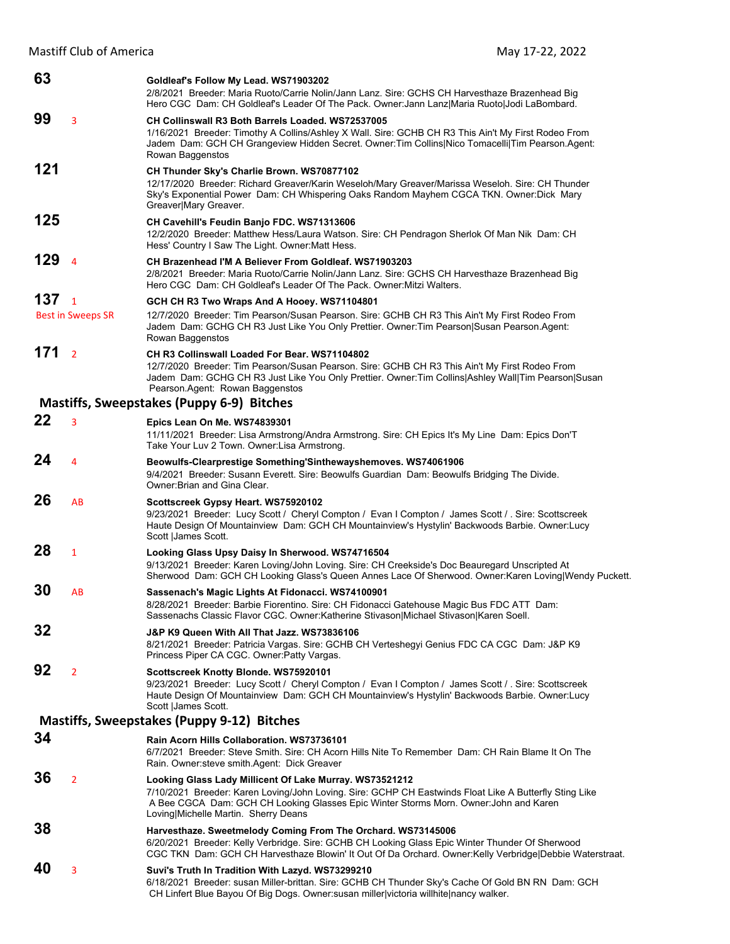Mastiff Club of America May 17-22, 2022

| 63  |                                            | Goldleaf's Follow My Lead. WS71903202<br>2/8/2021 Breeder: Maria Ruoto/Carrie Nolin/Jann Lanz. Sire: GCHS CH Harvesthaze Brazenhead Big<br>Hero CGC Dam: CH Goldleaf's Leader Of The Pack. Owner: Jann Lanz Maria Ruoto Jodi LaBombard.                                                            |
|-----|--------------------------------------------|----------------------------------------------------------------------------------------------------------------------------------------------------------------------------------------------------------------------------------------------------------------------------------------------------|
| 99  | 3                                          | CH Collinswall R3 Both Barrels Loaded. WS72537005<br>1/16/2021 Breeder: Timothy A Collins/Ashley X Wall. Sire: GCHB CH R3 This Ain't My First Rodeo From<br>Jadem Dam: GCH CH Grangeview Hidden Secret. Owner: Tim Collins Nico Tomacelli Tim Pearson. Agent:<br>Rowan Baggenstos                  |
| 121 |                                            | CH Thunder Sky's Charlie Brown. WS70877102<br>12/17/2020 Breeder: Richard Greaver/Karin Weseloh/Mary Greaver/Marissa Weseloh. Sire: CH Thunder<br>Sky's Exponential Power Dam: CH Whispering Oaks Random Mayhem CGCA TKN. Owner:Dick Mary<br>Greaver Mary Greaver.                                 |
| 125 |                                            | CH Cavehill's Feudin Banjo FDC. WS71313606<br>12/2/2020 Breeder: Matthew Hess/Laura Watson. Sire: CH Pendragon Sherlok Of Man Nik Dam: CH<br>Hess' Country I Saw The Light. Owner: Matt Hess.                                                                                                      |
| 129 | $\overline{4}$                             | CH Brazenhead I'M A Believer From Goldleaf. WS71903203<br>2/8/2021 Breeder: Maria Ruoto/Carrie Nolin/Jann Lanz. Sire: GCHS CH Harvesthaze Brazenhead Big<br>Hero CGC Dam: CH Goldleaf's Leader Of The Pack. Owner Mitzi Walters.                                                                   |
| 137 | $\overline{1}$<br><b>Best in Sweeps SR</b> | GCH CH R3 Two Wraps And A Hooey. WS71104801<br>12/7/2020 Breeder: Tim Pearson/Susan Pearson. Sire: GCHB CH R3 This Ain't My First Rodeo From<br>Jadem Dam: GCHG CH R3 Just Like You Only Prettier. Owner: Tim Pearson Susan Pearson. Agent:<br>Rowan Baggenstos                                    |
| 171 | $\overline{2}$                             | CH R3 Collinswall Loaded For Bear, WS71104802<br>12/7/2020 Breeder: Tim Pearson/Susan Pearson. Sire: GCHB CH R3 This Ain't My First Rodeo From<br>Jadem Dam: GCHG CH R3 Just Like You Only Prettier. Owner: Tim Collins Ashley Wall Tim Pearson Susan<br>Pearson Agent: Rowan Baggenstos           |
|     |                                            | Mastiffs, Sweepstakes (Puppy 6-9) Bitches                                                                                                                                                                                                                                                          |
| 22  | 3                                          | Epics Lean On Me. WS74839301<br>11/11/2021 Breeder: Lisa Armstrong/Andra Armstrong. Sire: CH Epics It's My Line Dam: Epics Don'T<br>Take Your Luv 2 Town. Owner: Lisa Armstrong.                                                                                                                   |
| 24  | $\overline{4}$                             | Beowulfs-Clearprestige Something'Sinthewayshemoves. WS74061906<br>9/4/2021 Breeder: Susann Everett. Sire: Beowulfs Guardian Dam: Beowulfs Bridging The Divide.<br>Owner: Brian and Gina Clear.                                                                                                     |
| 26  | AB                                         | Scottscreek Gypsy Heart. WS75920102<br>9/23/2021 Breeder: Lucy Scott / Cheryl Compton / Evan I Compton / James Scott / Sire: Scottscreek<br>Haute Design Of Mountainview Dam: GCH CH Mountainview's Hystylin' Backwoods Barbie. Owner: Lucy<br>Scott  James Scott.                                 |
| 28  | $\mathbf{1}$                               | Looking Glass Upsy Daisy In Sherwood. WS74716504<br>9/13/2021 Breeder: Karen Loving/John Loving. Sire: CH Creekside's Doc Beauregard Unscripted At<br>Sherwood Dam: GCH CH Looking Glass's Queen Annes Lace Of Sherwood. Owner: Karen Loving Wendy Puckett.                                        |
| 30  | AB                                         | Sassenach's Magic Lights At Fidonacci. WS74100901<br>8/28/2021 Breeder: Barbie Fiorentino. Sire: CH Fidonacci Gatehouse Magic Bus FDC ATT Dam:<br>Sassenachs Classic Flavor CGC. Owner: Katherine Stivason Michael Stivason Karen Soell.                                                           |
| 32  |                                            | J&P K9 Queen With All That Jazz. WS73836106<br>8/21/2021 Breeder: Patricia Vargas. Sire: GCHB CH Verteshegyi Genius FDC CA CGC Dam: J&P K9<br>Princess Piper CA CGC. Owner: Patty Vargas.                                                                                                          |
| 92  | $\overline{2}$                             | Scottscreek Knotty Blonde. WS75920101<br>9/23/2021 Breeder: Lucy Scott / Cheryl Compton / Evan I Compton / James Scott / . Sire: Scottscreek<br>Haute Design Of Mountainview Dam: GCH CH Mountainview's Hystylin' Backwoods Barbie. Owner: Lucy<br>Scott   James Scott.                            |
|     |                                            | Mastiffs, Sweepstakes (Puppy 9-12) Bitches                                                                                                                                                                                                                                                         |
| 34  |                                            | Rain Acorn Hills Collaboration, WS73736101<br>6/7/2021 Breeder: Steve Smith. Sire: CH Acorn Hills Nite To Remember Dam: CH Rain Blame It On The<br>Rain. Owner: steve smith. Agent: Dick Greaver                                                                                                   |
| 36  | $\overline{2}$                             | Looking Glass Lady Millicent Of Lake Murray. WS73521212<br>7/10/2021 Breeder: Karen Loving/John Loving. Sire: GCHP CH Eastwinds Float Like A Butterfly Sting Like<br>A Bee CGCA Dam: GCH CH Looking Glasses Epic Winter Storms Morn. Owner: John and Karen<br>Loving Michelle Martin. Sherry Deans |
| 38  |                                            | Harvesthaze. Sweetmelody Coming From The Orchard. WS73145006<br>6/20/2021 Breeder: Kelly Verbridge. Sire: GCHB CH Looking Glass Epic Winter Thunder Of Sherwood<br>CGC TKN Dam: GCH CH Harvesthaze Blowin' It Out Of Da Orchard. Owner: Kelly Verbridge Debbie Waterstraat.                        |
| 40  | 3                                          | Suvi's Truth In Tradition With Lazyd. WS73299210<br>6/18/2021 Breeder: susan Miller-brittan. Sire: GCHB CH Thunder Sky's Cache Of Gold BN RN Dam: GCH<br>CH Linfert Blue Bayou Of Big Dogs. Owner:susan miller victoria willhite nancy walker.                                                     |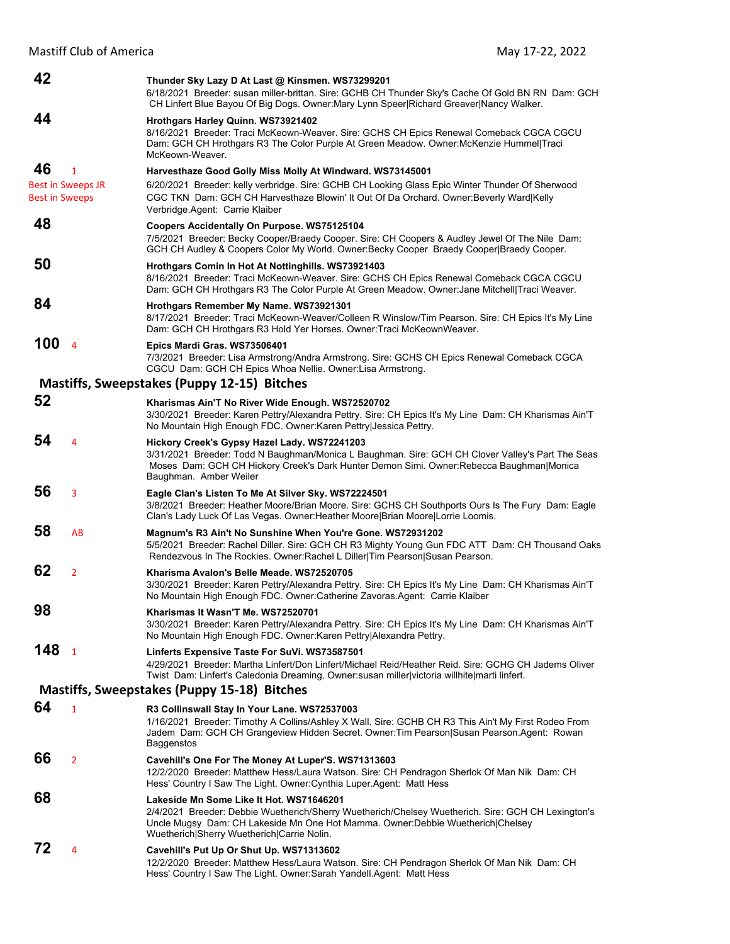Mastiff Club of America Mathematic May 17-22, 2022

| 42                    |                          | Thunder Sky Lazy D At Last @ Kinsmen. WS73299201<br>6/18/2021 Breeder: susan miller-brittan. Sire: GCHB CH Thunder Sky's Cache Of Gold BN RN Dam: GCH<br>CH Linfert Blue Bayou Of Big Dogs. Owner: Mary Lynn Speer   Richard Greaver   Nancy Walker.                            |
|-----------------------|--------------------------|---------------------------------------------------------------------------------------------------------------------------------------------------------------------------------------------------------------------------------------------------------------------------------|
| 44                    |                          | Hrothgars Harley Quinn. WS73921402<br>8/16/2021 Breeder: Traci McKeown-Weaver. Sire: GCHS CH Epics Renewal Comeback CGCA CGCU<br>Dam: GCH CH Hrothgars R3 The Color Purple At Green Meadow. Owner: McKenzie Hummel Traci<br>McKeown-Weaver.                                     |
| 46                    | $\mathbf{1}$             | Harvesthaze Good Golly Miss Molly At Windward. WS73145001                                                                                                                                                                                                                       |
|                       | <b>Best in Sweeps JR</b> | 6/20/2021 Breeder: kelly verbridge. Sire: GCHB CH Looking Glass Epic Winter Thunder Of Sherwood                                                                                                                                                                                 |
| <b>Best in Sweeps</b> |                          | CGC TKN Dam: GCH CH Harvesthaze Blowin' It Out Of Da Orchard. Owner: Beverly Ward Kelly<br>Verbridge Agent: Carrie Klaiber                                                                                                                                                      |
| 48                    |                          | Coopers Accidentally On Purpose. WS75125104<br>7/5/2021 Breeder: Becky Cooper/Braedy Cooper. Sire: CH Coopers & Audley Jewel Of The Nile Dam:<br>GCH CH Audley & Coopers Color My World. Owner: Becky Cooper Braedy Cooper Braedy Cooper.                                       |
| 50                    |                          | Hrothgars Comin In Hot At Nottinghills. WS73921403<br>8/16/2021 Breeder: Traci McKeown-Weaver. Sire: GCHS CH Epics Renewal Comeback CGCA CGCU<br>Dam: GCH CH Hrothgars R3 The Color Purple At Green Meadow. Owner: Jane Mitchell Traci Weaver.                                  |
| 84                    |                          | Hrothgars Remember My Name. WS73921301<br>8/17/2021 Breeder: Traci McKeown-Weaver/Colleen R Winslow/Tim Pearson. Sire: CH Epics It's My Line<br>Dam: GCH CH Hrothgars R3 Hold Yer Horses. Owner: Traci McKeownWeaver.                                                           |
| 100                   | $\overline{4}$           | Epics Mardi Gras. WS73506401<br>7/3/2021 Breeder: Lisa Armstrong/Andra Armstrong. Sire: GCHS CH Epics Renewal Comeback CGCA<br>CGCU Dam: GCH CH Epics Whoa Nellie. Owner: Lisa Armstrong.                                                                                       |
|                       |                          | Mastiffs, Sweepstakes (Puppy 12-15) Bitches                                                                                                                                                                                                                                     |
| 52                    |                          | Kharismas Ain'T No River Wide Enough. WS72520702                                                                                                                                                                                                                                |
|                       |                          | 3/30/2021 Breeder: Karen Pettry/Alexandra Pettry. Sire: CH Epics It's My Line Dam: CH Kharismas Ain'T<br>No Mountain High Enough FDC. Owner: Karen Pettry Jessica Pettry.                                                                                                       |
| 54                    | 4                        | Hickory Creek's Gypsy Hazel Lady. WS72241203<br>3/31/2021 Breeder: Todd N Baughman/Monica L Baughman. Sire: GCH CH Clover Valley's Part The Seas<br>Moses Dam: GCH CH Hickory Creek's Dark Hunter Demon Simi. Owner: Rebecca Baughman Monica<br>Baughman. Amber Weiler          |
| 56                    | 3                        | Eagle Clan's Listen To Me At Silver Sky. WS72224501<br>3/8/2021 Breeder: Heather Moore/Brian Moore. Sire: GCHS CH Southports Ours Is The Fury Dam: Eagle<br>Clan's Lady Luck Of Las Vegas. Owner: Heather Moore Brian Moore Lorrie Loomis.                                      |
| 58                    | AB                       | Magnum's R3 Ain't No Sunshine When You're Gone. WS72931202<br>5/5/2021 Breeder: Rachel Diller. Sire: GCH CH R3 Mighty Young Gun FDC ATT Dam: CH Thousand Oaks<br>Rendezvous In The Rockies. Owner:Rachel L Diller Tim Pearson Susan Pearson.                                    |
| 62                    | $\overline{2}$           | Kharisma Avalon's Belle Meade, WS72520705<br>3/30/2021 Breeder: Karen Pettry/Alexandra Pettry. Sire: CH Epics It's My Line Dam: CH Kharismas Ain'T<br>No Mountain High Enough FDC. Owner:Catherine Zavoras.Agent: Carrie Klaiber                                                |
| Ⴘჾ                    |                          | Kharismas It Wasn'T Me. WS72520701<br>3/30/2021 Breeder: Karen Pettry/Alexandra Pettry. Sire: CH Epics It's My Line Dam: CH Kharismas Ain'T<br>No Mountain High Enough FDC. Owner: Karen Pettry Alexandra Pettry.                                                               |
| 148                   | $\mathbf{1}$             | Linferts Expensive Taste For SuVi. WS73587501<br>4/29/2021 Breeder: Martha Linfert/Don Linfert/Michael Reid/Heather Reid. Sire: GCHG CH Jadems Oliver<br>Twist Dam: Linfert's Caledonia Dreaming. Owner: susan miller victoria willhite marti linfert.                          |
|                       |                          | Mastiffs, Sweepstakes (Puppy 15-18) Bitches                                                                                                                                                                                                                                     |
| 64                    | $\mathbf{1}$             | R3 Collinswall Stay In Your Lane. WS72537003                                                                                                                                                                                                                                    |
|                       |                          | 1/16/2021 Breeder: Timothy A Collins/Ashley X Wall. Sire: GCHB CH R3 This Ain't My First Rodeo From<br>Jadem Dam: GCH CH Grangeview Hidden Secret. Owner: Tim Pearson Susan Pearson.Agent: Rowan<br>Baggenstos                                                                  |
| 66                    | $\overline{2}$           | Cavehill's One For The Money At Luper'S. WS71313603<br>12/2/2020 Breeder: Matthew Hess/Laura Watson. Sire: CH Pendragon Sherlok Of Man Nik Dam: CH<br>Hess' Country I Saw The Light. Owner: Cynthia Luper. Agent: Matt Hess                                                     |
| 68                    |                          | Lakeside Mn Some Like It Hot. WS71646201<br>2/4/2021 Breeder: Debbie Wuetherich/Sherry Wuetherich/Chelsey Wuetherich. Sire: GCH CH Lexington's<br>Uncle Mugsy Dam: CH Lakeside Mn One Hot Mamma. Owner: Debbie Wuetherich Chelsey<br>Wuetherich Sherry Wuetherich Carrie Nolin. |
| 72                    | 4                        | Cavehill's Put Up Or Shut Up. WS71313602<br>12/2/2020 Breeder: Matthew Hess/Laura Watson. Sire: CH Pendragon Sherlok Of Man Nik Dam: CH<br>Hess' Country I Saw The Light. Owner: Sarah Yandell. Agent: Matt Hess                                                                |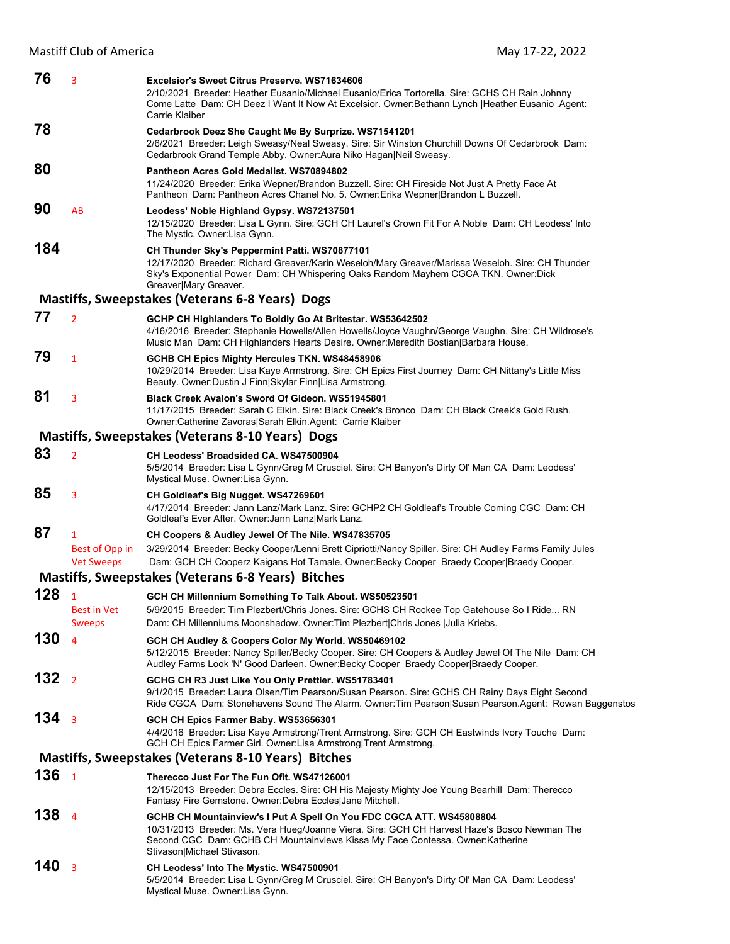| 76  | 3                                                   | Excelsior's Sweet Citrus Preserve, WS71634606<br>2/10/2021 Breeder: Heather Eusanio/Michael Eusanio/Erica Tortorella. Sire: GCHS CH Rain Johnny<br>Come Latte Dam: CH Deez I Want It Now At Excelsior. Owner: Bethann Lynch   Heather Eusanio . Agent:<br>Carrie Klaiber                                                                              |
|-----|-----------------------------------------------------|-------------------------------------------------------------------------------------------------------------------------------------------------------------------------------------------------------------------------------------------------------------------------------------------------------------------------------------------------------|
| 78  |                                                     | Cedarbrook Deez She Caught Me By Surprize. WS71541201<br>2/6/2021 Breeder: Leigh Sweasy/Neal Sweasy. Sire: Sir Winston Churchill Downs Of Cedarbrook Dam:<br>Cedarbrook Grand Temple Abby. Owner: Aura Niko Hagan Neil Sweasy.                                                                                                                        |
| 80  |                                                     | Pantheon Acres Gold Medalist. WS70894802<br>11/24/2020 Breeder: Erika Wepner/Brandon Buzzell. Sire: CH Fireside Not Just A Pretty Face At<br>Pantheon Dam: Pantheon Acres Chanel No. 5. Owner: Erika Wepner Brandon L Buzzell.                                                                                                                        |
| 90  | AB                                                  | Leodess' Noble Highland Gypsy. WS72137501<br>12/15/2020 Breeder: Lisa L Gynn. Sire: GCH CH Laurel's Crown Fit For A Noble Dam: CH Leodess' Into<br>The Mystic. Owner: Lisa Gynn.                                                                                                                                                                      |
| 184 |                                                     | CH Thunder Sky's Peppermint Patti. WS70877101<br>12/17/2020 Breeder: Richard Greaver/Karin Weseloh/Mary Greaver/Marissa Weseloh. Sire: CH Thunder<br>Sky's Exponential Power Dam: CH Whispering Oaks Random Mayhem CGCA TKN. Owner: Dick<br>Greaver Mary Greaver.                                                                                     |
|     |                                                     | <b>Mastiffs, Sweepstakes (Veterans 6-8 Years) Dogs</b>                                                                                                                                                                                                                                                                                                |
| 77  | $\overline{2}$                                      | GCHP CH Highlanders To Boldly Go At Britestar. WS53642502<br>4/16/2016 Breeder: Stephanie Howells/Allen Howells/Joyce Vaughn/George Vaughn. Sire: CH Wildrose's<br>Music Man Dam: CH Highlanders Hearts Desire. Owner: Meredith Bostian   Barbara House.                                                                                              |
| 79  | 1                                                   | <b>GCHB CH Epics Mighty Hercules TKN. WS48458906</b><br>10/29/2014 Breeder: Lisa Kaye Armstrong. Sire: CH Epics First Journey Dam: CH Nittany's Little Miss<br>Beauty. Owner: Dustin J Finn Skylar Finn Lisa Armstrong.                                                                                                                               |
| 81  | 3                                                   | Black Creek Avalon's Sword Of Gideon, WS51945801<br>11/17/2015 Breeder: Sarah C Elkin. Sire: Black Creek's Bronco Dam: CH Black Creek's Gold Rush.<br>Owner:Catherine Zavoras Sarah Elkin.Agent: Carrie Klaiber                                                                                                                                       |
|     |                                                     | <b>Mastiffs, Sweepstakes (Veterans 8-10 Years) Dogs</b>                                                                                                                                                                                                                                                                                               |
| 83  | $\overline{2}$                                      | CH Leodess' Broadsided CA, WS47500904<br>5/5/2014 Breeder: Lisa L Gynn/Greg M Crusciel. Sire: CH Banyon's Dirty Ol' Man CA Dam: Leodess'<br>Mystical Muse. Owner:Lisa Gynn.                                                                                                                                                                           |
| 85  | 3                                                   | CH Goldleaf's Big Nugget. WS47269601<br>4/17/2014 Breeder: Jann Lanz/Mark Lanz. Sire: GCHP2 CH Goldleaf's Trouble Coming CGC Dam: CH<br>Goldleaf's Ever After. Owner: Jann Lanz Mark Lanz.                                                                                                                                                            |
|     |                                                     |                                                                                                                                                                                                                                                                                                                                                       |
| 87  | $\mathbf{1}$<br>Best of Opp in<br><b>Vet Sweeps</b> | CH Coopers & Audley Jewel Of The Nile. WS47835705<br>3/29/2014 Breeder: Becky Cooper/Lenni Brett Cipriotti/Nancy Spiller. Sire: CH Audley Farms Family Jules<br>Dam: GCH CH Cooperz Kaigans Hot Tamale. Owner: Becky Cooper Braedy Cooper   Braedy Cooper.                                                                                            |
|     |                                                     | Mastiffs, Sweepstakes (Veterans 6-8 Years) Bitches                                                                                                                                                                                                                                                                                                    |
| 128 | $\mathbf{1}$<br><b>Best in Vet</b>                  | GCH CH Millennium Something To Talk About. WS50523501<br>5/9/2015 Breeder: Tim Plezbert/Chris Jones. Sire: GCHS CH Rockee Top Gatehouse So I Ride RN                                                                                                                                                                                                  |
| 130 | <b>Sweeps</b><br>4                                  | Dam: CH Millenniums Moonshadow. Owner: Tim Plezbert Chris Jones   Julia Kriebs.<br>GCH CH Audley & Coopers Color My World. WS50469102<br>5/12/2015 Breeder: Nancy Spiller/Becky Cooper. Sire: CH Coopers & Audley Jewel Of The Nile Dam: CH                                                                                                           |
| 132 | $\overline{2}$                                      | Audley Farms Look 'N' Good Darleen. Owner: Becky Cooper Braedy Cooper Braedy Cooper.<br>GCHG CH R3 Just Like You Only Prettier. WS51783401<br>9/1/2015 Breeder: Laura Olsen/Tim Pearson/Susan Pearson. Sire: GCHS CH Rainy Days Eight Second<br>Ride CGCA Dam: Stonehavens Sound The Alarm. Owner: Tim Pearson Susan Pearson. Agent: Rowan Baggenstos |
| 134 | $\overline{\mathbf{3}}$                             | GCH CH Epics Farmer Baby. WS53656301<br>4/4/2016 Breeder: Lisa Kaye Armstrong/Trent Armstrong. Sire: GCH CH Eastwinds Ivory Touche Dam:<br>GCH CH Epics Farmer Girl. Owner:Lisa Armstrong Trent Armstrong.                                                                                                                                            |
|     |                                                     | Mastiffs, Sweepstakes (Veterans 8-10 Years) Bitches                                                                                                                                                                                                                                                                                                   |
| 136 | $\overline{1}$                                      | Therecco Just For The Fun Ofit. WS47126001<br>12/15/2013 Breeder: Debra Eccles. Sire: CH His Majesty Mighty Joe Young Bearhill Dam: Therecco<br>Fantasy Fire Gemstone. Owner: Debra Eccles Jane Mitchell.                                                                                                                                             |
| 138 | $\overline{4}$                                      | GCHB CH Mountainview's I Put A Spell On You FDC CGCA ATT. WS45808804<br>10/31/2013 Breeder: Ms. Vera Hueg/Joanne Viera. Sire: GCH CH Harvest Haze's Bosco Newman The<br>Second CGC Dam: GCHB CH Mountainviews Kissa My Face Contessa. Owner: Katherine<br>Stivason Michael Stivason.                                                                  |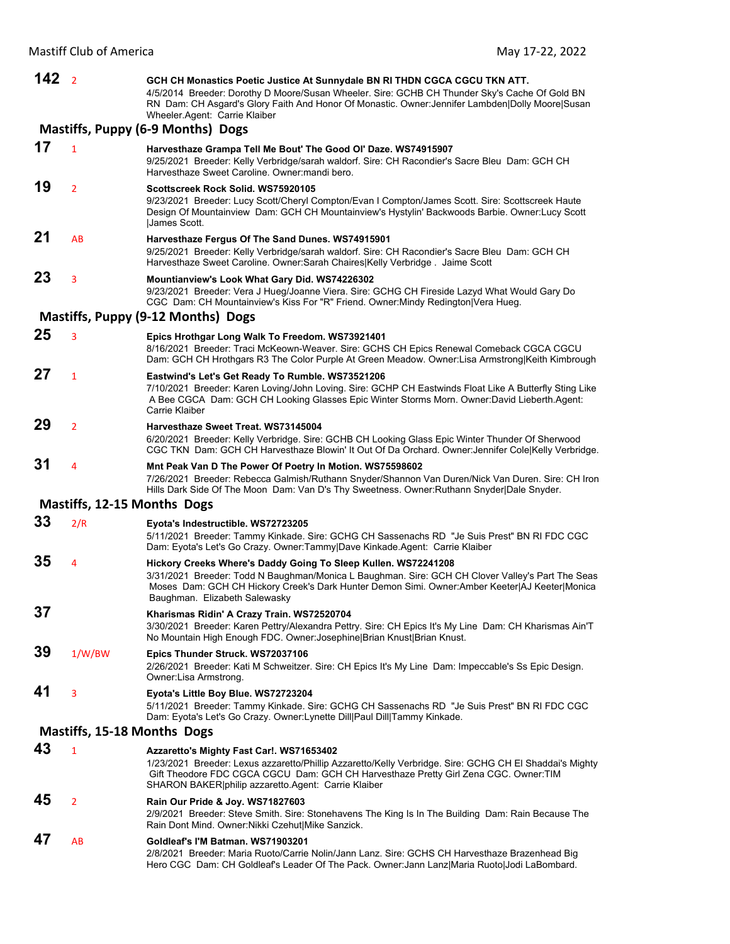**142** <sup>2</sup> **GCH CH Monastics Poetic Justice At Sunnydale BN RI THDN CGCA CGCU TKN ATT.**  4/5/2014 Breeder: Dorothy D Moore/Susan Wheeler. Sire: GCHB CH Thunder Sky's Cache Of Gold BN RN Dam: CH Asgard's Glory Faith And Honor Of Monastic. Owner:Jennifer Lambden|Dolly Moore|Susan Wheeler.Agent: Carrie Klaiber **Mastiffs, Puppy (6‐9 Months) Dogs 17** <sup>1</sup> **Harvesthaze Grampa Tell Me Bout' The Good Ol' Daze. WS74915907** 9/25/2021 Breeder: Kelly Verbridge/sarah waldorf. Sire: CH Racondier's Sacre Bleu Dam: GCH CH Harvesthaze Sweet Caroline. Owner:mandi bero. **19** <sup>2</sup> **Scottscreek Rock Solid. WS75920105** 9/23/2021 Breeder: Lucy Scott/Cheryl Compton/Evan I Compton/James Scott. Sire: Scottscreek Haute Design Of Mountainview Dam: GCH CH Mountainview's Hystylin' Backwoods Barbie. Owner:Lucy Scott |James Scott. **21** AB **Harvesthaze Fergus Of The Sand Dunes. WS74915901** 9/25/2021 Breeder: Kelly Verbridge/sarah waldorf. Sire: CH Racondier's Sacre Bleu Dam: GCH CH Harvesthaze Sweet Caroline. Owner:Sarah Chaires|Kelly Verbridge . Jaime Scott **23** <sup>3</sup> **Mountianview's Look What Gary Did. WS74226302** 9/23/2021 Breeder: Vera J Hueg/Joanne Viera. Sire: GCHG CH Fireside Lazyd What Would Gary Do CGC Dam: CH Mountainview's Kiss For "R" Friend. Owner:Mindy Redington|Vera Hueg. **Mastiffs, Puppy (9‐12 Months) Dogs 25** <sup>3</sup> **Epics Hrothgar Long Walk To Freedom. WS73921401** 8/16/2021 Breeder: Traci McKeown-Weaver. Sire: GCHS CH Epics Renewal Comeback CGCA CGCU Dam: GCH CH Hrothgars R3 The Color Purple At Green Meadow. Owner:Lisa Armstrong|Keith Kimbrough **27** <sup>1</sup> **Eastwind's Let's Get Ready To Rumble. WS73521206** 7/10/2021 Breeder: Karen Loving/John Loving. Sire: GCHP CH Eastwinds Float Like A Butterfly Sting Like A Bee CGCA Dam: GCH CH Looking Glasses Epic Winter Storms Morn. Owner:David Lieberth.Agent: Carrie Klaiber **29** <sup>2</sup> **Harvesthaze Sweet Treat. WS73145004** 6/20/2021 Breeder: Kelly Verbridge. Sire: GCHB CH Looking Glass Epic Winter Thunder Of Sherwood CGC TKN Dam: GCH CH Harvesthaze Blowin' It Out Of Da Orchard. Owner:Jennifer Cole|Kelly Verbridge. **31** <sup>4</sup> **Mnt Peak Van D The Power Of Poetry In Motion. WS75598602** 7/26/2021 Breeder: Rebecca Galmish/Ruthann Snyder/Shannon Van Duren/Nick Van Duren. Sire: CH Iron Hills Dark Side Of The Moon Dam: Van D's Thy Sweetness. Owner:Ruthann Snyder|Dale Snyder. **Mastiffs, 12‐15 Months Dogs 33** 2/R **Eyota's Indestructible. WS72723205** 5/11/2021 Breeder: Tammy Kinkade. Sire: GCHG CH Sassenachs RD "Je Suis Prest" BN RI FDC CGC Dam: Eyota's Let's Go Crazy. Owner:Tammy|Dave Kinkade.Agent: Carrie Klaiber **35** <sup>4</sup> **Hickory Creeks Where's Daddy Going To Sleep Kullen. WS72241208** 3/31/2021 Breeder: Todd N Baughman/Monica L Baughman. Sire: GCH CH Clover Valley's Part The Seas Moses Dam: GCH CH Hickory Creek's Dark Hunter Demon Simi. Owner:Amber Keeter|AJ Keeter|Monica Baughman. Elizabeth Salewasky **37 Kharismas Ridin' A Crazy Train. WS72520704** 3/30/2021 Breeder: Karen Pettry/Alexandra Pettry. Sire: CH Epics It's My Line Dam: CH Kharismas Ain'T No Mountain High Enough FDC. Owner:Josephine|Brian Knust|Brian Knust. **39** 1/W/BW **Epics Thunder Struck. WS72037106** 2/26/2021 Breeder: Kati M Schweitzer. Sire: CH Epics It's My Line Dam: Impeccable's Ss Epic Design. Owner:Lisa Armstrong. **41** <sup>3</sup> **Eyota's Little Boy Blue. WS72723204** 5/11/2021 Breeder: Tammy Kinkade. Sire: GCHG CH Sassenachs RD "Je Suis Prest" BN RI FDC CGC Dam: Eyota's Let's Go Crazy. Owner:Lynette Dill|Paul Dill|Tammy Kinkade. **Mastiffs, 15‐18 Months Dogs 43** <sup>1</sup> **Azzaretto's Mighty Fast Car!. WS71653402** 1/23/2021 Breeder: Lexus azzaretto/Phillip Azzaretto/Kelly Verbridge. Sire: GCHG CH El Shaddai's Mighty Gift Theodore FDC CGCA CGCU Dam: GCH CH Harvesthaze Pretty Girl Zena CGC. Owner:TIM SHARON BAKER|philip azzaretto.Agent: Carrie Klaiber **45** <sup>2</sup> **Rain Our Pride & Joy. WS71827603** 2/9/2021 Breeder: Steve Smith. Sire: Stonehavens The King Is In The Building Dam: Rain Because The Rain Dont Mind. Owner:Nikki Czehut|Mike Sanzick. **47** AB **Goldleaf's I'M Batman. WS71903201** 2/8/2021 Breeder: Maria Ruoto/Carrie Nolin/Jann Lanz. Sire: GCHS CH Harvesthaze Brazenhead Big Hero CGC Dam: CH Goldleaf's Leader Of The Pack. Owner:Jann Lanz|Maria Ruoto|Jodi LaBombard.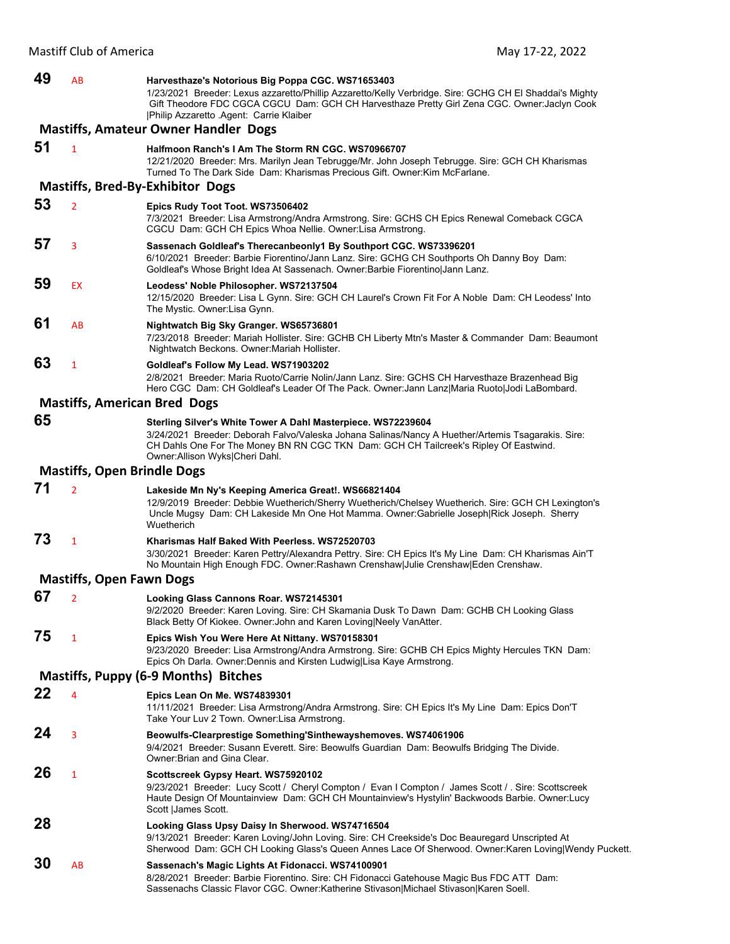| 49 | AB                                          | Harvesthaze's Notorious Big Poppa CGC. WS71653403<br>1/23/2021 Breeder: Lexus azzaretto/Phillip Azzaretto/Kelly Verbridge. Sire: GCHG CH El Shaddai's Mighty<br>Gift Theodore FDC CGCA CGCU Dam: GCH CH Harvesthaze Pretty Girl Zena CGC. Owner: Jaclyn Cook<br> Philip Azzaretto .Agent: Carrie Klaiber |  |  |  |
|----|---------------------------------------------|----------------------------------------------------------------------------------------------------------------------------------------------------------------------------------------------------------------------------------------------------------------------------------------------------------|--|--|--|
|    | <b>Mastiffs, Amateur Owner Handler Dogs</b> |                                                                                                                                                                                                                                                                                                          |  |  |  |
| 51 | $\mathbf{1}$                                | Halfmoon Ranch's I Am The Storm RN CGC. WS70966707<br>12/21/2020 Breeder: Mrs. Marilyn Jean Tebrugge/Mr. John Joseph Tebrugge. Sire: GCH CH Kharismas<br>Turned To The Dark Side Dam: Kharismas Precious Gift. Owner: Kim McFarlane.                                                                     |  |  |  |
|    |                                             | <b>Mastiffs, Bred-By-Exhibitor Dogs</b>                                                                                                                                                                                                                                                                  |  |  |  |
| 53 | $\overline{2}$                              | Epics Rudy Toot Toot. WS73506402<br>7/3/2021 Breeder: Lisa Armstrong/Andra Armstrong. Sire: GCHS CH Epics Renewal Comeback CGCA<br>CGCU Dam: GCH CH Epics Whoa Nellie. Owner: Lisa Armstrong.                                                                                                            |  |  |  |
| 57 | 3                                           | Sassenach Goldleaf's Therecanbeonly1 By Southport CGC. WS73396201<br>6/10/2021 Breeder: Barbie Fiorentino/Jann Lanz. Sire: GCHG CH Southports Oh Danny Boy Dam:<br>Goldleaf's Whose Bright Idea At Sassenach. Owner:Barbie Fiorentino Jann Lanz.                                                         |  |  |  |
| 59 | EX                                          | Leodess' Noble Philosopher. WS72137504<br>12/15/2020 Breeder: Lisa L Gynn. Sire: GCH CH Laurel's Crown Fit For A Noble Dam: CH Leodess' Into<br>The Mystic. Owner: Lisa Gynn.                                                                                                                            |  |  |  |
| 61 | AB                                          | Nightwatch Big Sky Granger. WS65736801<br>7/23/2018 Breeder: Mariah Hollister. Sire: GCHB CH Liberty Mtn's Master & Commander Dam: Beaumont<br>Nightwatch Beckons. Owner: Mariah Hollister.                                                                                                              |  |  |  |
| 63 | 1                                           | Goldleaf's Follow My Lead. WS71903202<br>2/8/2021 Breeder: Maria Ruoto/Carrie Nolin/Jann Lanz. Sire: GCHS CH Harvesthaze Brazenhead Big<br>Hero CGC Dam: CH Goldleaf's Leader Of The Pack. Owner: Jann Lanz Maria Ruoto Jodi LaBombard.                                                                  |  |  |  |
|    |                                             | <b>Mastiffs, American Bred Dogs</b>                                                                                                                                                                                                                                                                      |  |  |  |
| 65 |                                             | Sterling Silver's White Tower A Dahl Masterpiece. WS72239604<br>3/24/2021 Breeder: Deborah Falvo/Valeska Johana Salinas/Nancy A Huether/Artemis Tsagarakis. Sire:<br>CH Dahls One For The Money BN RN CGC TKN Dam: GCH CH Tailcreek's Ripley Of Eastwind.<br>Owner: Allison Wyks Cheri Dahl.             |  |  |  |
|    | <b>Mastiffs, Open Brindle Dogs</b>          |                                                                                                                                                                                                                                                                                                          |  |  |  |
| 71 | $\overline{2}$                              | Lakeside Mn Ny's Keeping America Great!. WS66821404<br>12/9/2019 Breeder: Debbie Wuetherich/Sherry Wuetherich/Chelsey Wuetherich. Sire: GCH CH Lexington's<br>Uncle Mugsy Dam: CH Lakeside Mn One Hot Mamma. Owner:Gabrielle Joseph Rick Joseph. Sherry<br>Wuetherich                                    |  |  |  |
| 73 | $\mathbf{1}$                                | Kharismas Half Baked With Peerless, WS72520703<br>3/30/2021 Breeder: Karen Pettry/Alexandra Pettry. Sire: CH Epics It's My Line Dam: CH Kharismas Ain'T<br>No Mountain High Enough FDC. Owner: Rashawn Crenshaw Julie Crenshaw Eden Crenshaw.                                                            |  |  |  |
|    | <b>Mastiffs, Open Fawn Dogs</b>             |                                                                                                                                                                                                                                                                                                          |  |  |  |
| 67 | $\overline{2}$                              | Looking Glass Cannons Roar. WS72145301<br>9/2/2020 Breeder: Karen Loving. Sire: CH Skamania Dusk To Dawn Dam: GCHB CH Looking Glass<br>Black Betty Of Kiokee. Owner: John and Karen Loving Neely VanAtter.                                                                                               |  |  |  |
| 75 | $\mathbf{1}$                                | Epics Wish You Were Here At Nittany. WS70158301<br>9/23/2020 Breeder: Lisa Armstrong/Andra Armstrong. Sire: GCHB CH Epics Mighty Hercules TKN Dam:<br>Epics Oh Darla. Owner: Dennis and Kirsten Ludwig Lisa Kaye Armstrong.                                                                              |  |  |  |
|    |                                             | Mastiffs, Puppy (6-9 Months) Bitches                                                                                                                                                                                                                                                                     |  |  |  |
| 22 | 4                                           | Epics Lean On Me. WS74839301<br>11/11/2021 Breeder: Lisa Armstrong/Andra Armstrong. Sire: CH Epics It's My Line Dam: Epics Don'T<br>Take Your Luv 2 Town. Owner:Lisa Armstrong.                                                                                                                          |  |  |  |
| 24 | 3                                           | Beowulfs-Clearprestige Something'Sinthewayshemoves. WS74061906<br>9/4/2021 Breeder: Susann Everett. Sire: Beowulfs Guardian Dam: Beowulfs Bridging The Divide.<br>Owner: Brian and Gina Clear.                                                                                                           |  |  |  |
| 26 | $\mathbf{1}$                                | Scottscreek Gypsy Heart. WS75920102<br>9/23/2021 Breeder: Lucy Scott / Cheryl Compton / Evan I Compton / James Scott / Sire: Scottscreek<br>Haute Design Of Mountainview Dam: GCH CH Mountainview's Hystylin' Backwoods Barbie. Owner:Lucy<br>Scott   James Scott.                                       |  |  |  |
| 28 |                                             | Looking Glass Upsy Daisy In Sherwood. WS74716504<br>9/13/2021 Breeder: Karen Loving/John Loving. Sire: CH Creekside's Doc Beauregard Unscripted At<br>Sherwood Dam: GCH CH Looking Glass's Queen Annes Lace Of Sherwood. Owner: Karen Loving Wendy Puckett.                                              |  |  |  |
| 30 | AB                                          | Sassenach's Magic Lights At Fidonacci. WS74100901<br>8/28/2021 Breeder: Barbie Fiorentino. Sire: CH Fidonacci Gatehouse Magic Bus FDC ATT Dam:<br>Sassenachs Classic Flavor CGC. Owner:Katherine Stivason Michael Stivason Karen Soell.                                                                  |  |  |  |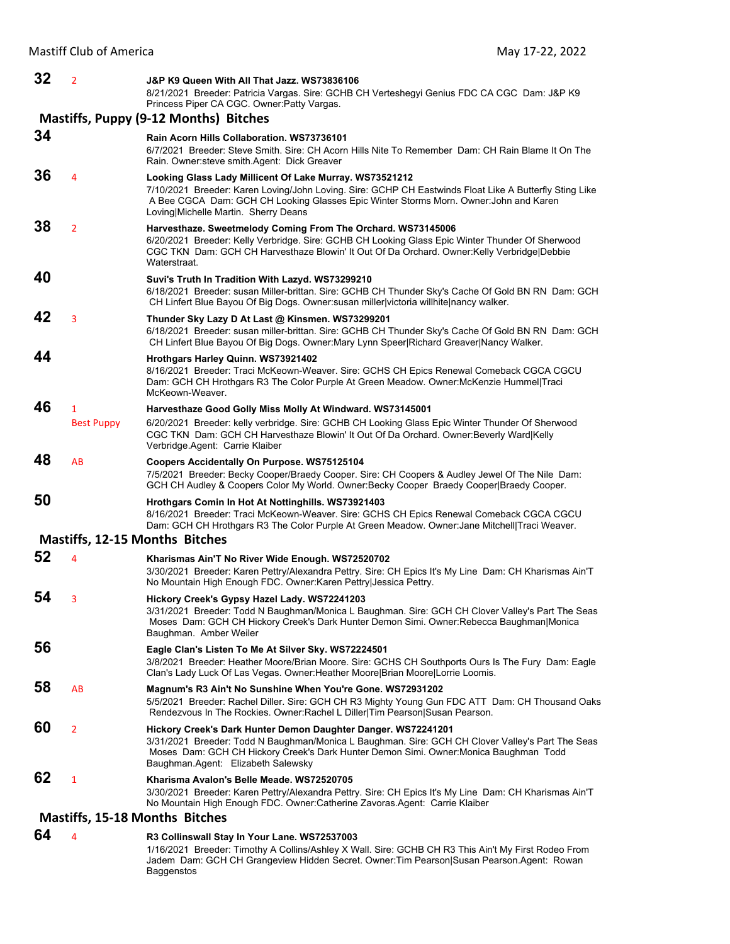| 32 | 2                      | J&P K9 Queen With All That Jazz. WS73836106<br>8/21/2021 Breeder: Patricia Vargas. Sire: GCHB CH Verteshegyi Genius FDC CA CGC Dam: J&P K9<br>Princess Piper CA CGC. Owner: Patty Vargas.                                                                                                          |
|----|------------------------|----------------------------------------------------------------------------------------------------------------------------------------------------------------------------------------------------------------------------------------------------------------------------------------------------|
|    |                        | Mastiffs, Puppy (9-12 Months) Bitches                                                                                                                                                                                                                                                              |
| 34 |                        | Rain Acorn Hills Collaboration. WS73736101<br>6/7/2021 Breeder: Steve Smith. Sire: CH Acorn Hills Nite To Remember Dam: CH Rain Blame It On The<br>Rain. Owner: steve smith. Agent: Dick Greaver                                                                                                   |
| 36 | 4                      | Looking Glass Lady Millicent Of Lake Murray. WS73521212<br>7/10/2021 Breeder: Karen Loving/John Loving. Sire: GCHP CH Eastwinds Float Like A Butterfly Sting Like<br>A Bee CGCA Dam: GCH CH Looking Glasses Epic Winter Storms Morn. Owner: John and Karen<br>Loving Michelle Martin. Sherry Deans |
| 38 | $\overline{2}$         | Harvesthaze. Sweetmelody Coming From The Orchard. WS73145006<br>6/20/2021 Breeder: Kelly Verbridge. Sire: GCHB CH Looking Glass Epic Winter Thunder Of Sherwood<br>CGC TKN Dam: GCH CH Harvesthaze Blowin' It Out Of Da Orchard. Owner: Kelly Verbridge Debbie<br>Waterstraat.                     |
| 40 |                        | Suvi's Truth In Tradition With Lazyd. WS73299210<br>6/18/2021 Breeder: susan Miller-brittan. Sire: GCHB CH Thunder Sky's Cache Of Gold BN RN Dam: GCH<br>CH Linfert Blue Bayou Of Big Dogs. Owner: susan miller victoria will hite nancy walker.                                                   |
| 42 | 3                      | Thunder Sky Lazy D At Last @ Kinsmen. WS73299201<br>6/18/2021 Breeder: susan miller-brittan. Sire: GCHB CH Thunder Sky's Cache Of Gold BN RN Dam: GCH<br>CH Linfert Blue Bayou Of Big Dogs. Owner: Mary Lynn Speer Richard Greaver Nancy Walker.                                                   |
| 44 |                        | Hrothgars Harley Quinn. WS73921402<br>8/16/2021 Breeder: Traci McKeown-Weaver. Sire: GCHS CH Epics Renewal Comeback CGCA CGCU<br>Dam: GCH CH Hrothgars R3 The Color Purple At Green Meadow. Owner: McKenzie Hummel Traci<br>McKeown-Weaver.                                                        |
| 46 | 1<br><b>Best Puppy</b> | Harvesthaze Good Golly Miss Molly At Windward. WS73145001<br>6/20/2021 Breeder: kelly verbridge. Sire: GCHB CH Looking Glass Epic Winter Thunder Of Sherwood<br>CGC TKN Dam: GCH CH Harvesthaze Blowin' It Out Of Da Orchard. Owner: Beverly Ward Kelly<br>Verbridge.Agent: Carrie Klaiber         |
| 48 | AB                     | Coopers Accidentally On Purpose. WS75125104<br>7/5/2021 Breeder: Becky Cooper/Braedy Cooper. Sire: CH Coopers & Audley Jewel Of The Nile Dam:<br>GCH CH Audley & Coopers Color My World. Owner: Becky Cooper Braedy Cooper Braedy Cooper.                                                          |
| 50 |                        | Hrothgars Comin In Hot At Nottinghills. WS73921403<br>8/16/2021 Breeder: Traci McKeown-Weaver. Sire: GCHS CH Epics Renewal Comeback CGCA CGCU<br>Dam: GCH CH Hrothgars R3 The Color Purple At Green Meadow. Owner: Jane Mitchell Traci Weaver.                                                     |
|    |                        | <b>Mastiffs, 12-15 Months Bitches</b>                                                                                                                                                                                                                                                              |
| 52 | 4                      | Kharismas Ain'T No River Wide Enough. WS72520702<br>3/30/2021 Breeder: Karen Pettry/Alexandra Pettry. Sire: CH Epics It's My Line Dam: CH Kharismas Ain'T<br>No Mountain High Enough FDC. Owner: Karen Pettry Jessica Pettry.                                                                      |
| 54 | 3                      | Hickory Creek's Gypsy Hazel Lady. WS72241203<br>3/31/2021 Breeder: Todd N Baughman/Monica L Baughman. Sire: GCH CH Clover Valley's Part The Seas<br>Moses Dam: GCH CH Hickory Creek's Dark Hunter Demon Simi. Owner:Rebecca Baughman Monica<br>Baughman. Amber Weiler                              |
| 56 |                        | Eagle Clan's Listen To Me At Silver Sky. WS72224501<br>3/8/2021 Breeder: Heather Moore/Brian Moore. Sire: GCHS CH Southports Ours Is The Fury Dam: Eagle<br>Clan's Lady Luck Of Las Vegas. Owner: Heather Moore Brian Moore Lorrie Loomis.                                                         |
| 58 | AB                     | Magnum's R3 Ain't No Sunshine When You're Gone. WS72931202<br>5/5/2021 Breeder: Rachel Diller. Sire: GCH CH R3 Mighty Young Gun FDC ATT Dam: CH Thousand Oaks<br>Rendezvous In The Rockies. Owner: Rachel L Diller Tim Pearson Susan Pearson.                                                      |
| 60 | $\overline{2}$         | Hickory Creek's Dark Hunter Demon Daughter Danger. WS72241201<br>3/31/2021 Breeder: Todd N Baughman/Monica L Baughman. Sire: GCH CH Clover Valley's Part The Seas<br>Moses Dam: GCH CH Hickory Creek's Dark Hunter Demon Simi. Owner: Monica Baughman Todd<br>Baughman.Agent: Elizabeth Salewsky   |
| 62 | $\mathbf{1}$           | Kharisma Avalon's Belle Meade. WS72520705<br>3/30/2021 Breeder: Karen Pettry/Alexandra Pettry. Sire: CH Epics It's My Line Dam: CH Kharismas Ain'T<br>No Mountain High Enough FDC. Owner: Catherine Zavoras. Agent: Carrie Klaiber                                                                 |
|    |                        | <b>Mastiffs, 15-18 Months Bitches</b>                                                                                                                                                                                                                                                              |
| 64 | 4                      | R3 Collinswall Stay In Your Lane. WS72537003                                                                                                                                                                                                                                                       |

1/16/2021 Breeder: Timothy A Collins/Ashley X Wall. Sire: GCHB CH R3 This Ain't My First Rodeo From Jadem Dam: GCH CH Grangeview Hidden Secret. Owner:Tim Pearson|Susan Pearson.Agent: Rowan Baggenstos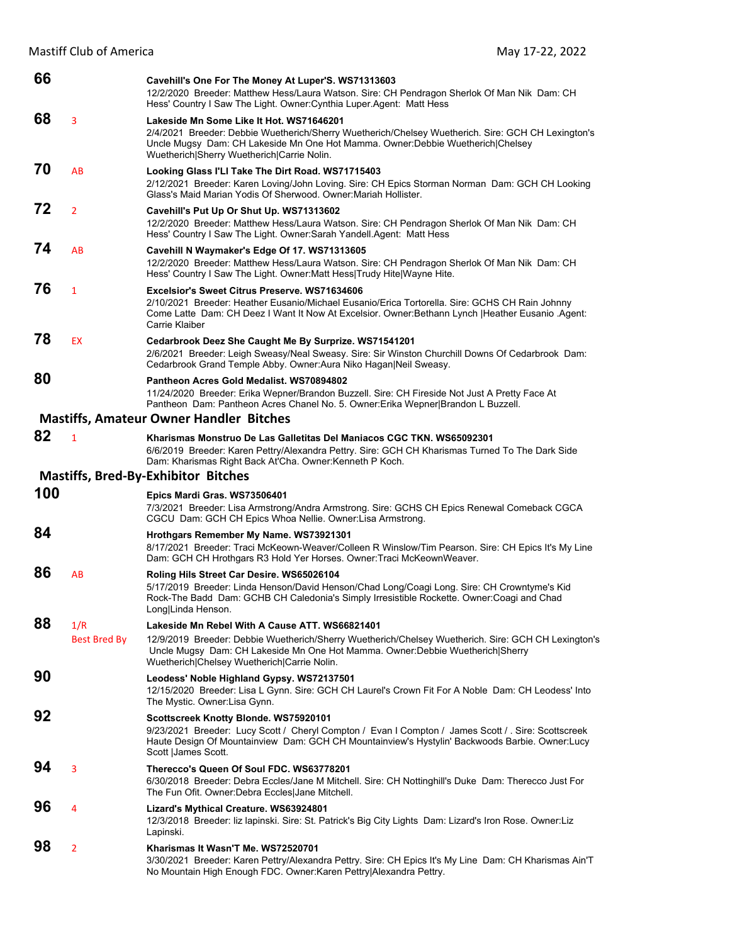Mastiff Club of America May 17-22, 2022

| 66       |                     | Cavehill's One For The Money At Luper'S. WS71313603<br>12/2/2020 Breeder: Matthew Hess/Laura Watson. Sire: CH Pendragon Sherlok Of Man Nik Dam: CH<br>Hess' Country I Saw The Light. Owner: Cynthia Luper. Agent: Matt Hess                                                     |
|----------|---------------------|---------------------------------------------------------------------------------------------------------------------------------------------------------------------------------------------------------------------------------------------------------------------------------|
| 68       | 3                   | Lakeside Mn Some Like It Hot. WS71646201<br>2/4/2021 Breeder: Debbie Wuetherich/Sherry Wuetherich/Chelsey Wuetherich. Sire: GCH CH Lexington's<br>Uncle Mugsy Dam: CH Lakeside Mn One Hot Mamma. Owner: Debbie Wuetherich Chelsey<br>Wuetherich Sherry Wuetherich Carrie Nolin. |
| 70       | AB                  | Looking Glass I'LI Take The Dirt Road. WS71715403<br>2/12/2021 Breeder: Karen Loving/John Loving. Sire: CH Epics Storman Norman Dam: GCH CH Looking<br>Glass's Maid Marian Yodis Of Sherwood, Owner: Mariah Hollister,                                                          |
| 72       | $\overline{2}$      | Cavehill's Put Up Or Shut Up. WS71313602<br>12/2/2020 Breeder: Matthew Hess/Laura Watson. Sire: CH Pendragon Sherlok Of Man Nik Dam: CH<br>Hess' Country I Saw The Light. Owner: Sarah Yandell. Agent: Matt Hess                                                                |
| 74       | AB                  | Cavehill N Waymaker's Edge Of 17. WS71313605<br>12/2/2020 Breeder: Matthew Hess/Laura Watson. Sire: CH Pendragon Sherlok Of Man Nik Dam: CH<br>Hess' Country I Saw The Light. Owner: Matt Hess Trudy Hite Wayne Hite.                                                           |
| 76       | $\mathbf{1}$        | Excelsior's Sweet Citrus Preserve, WS71634606<br>2/10/2021 Breeder: Heather Eusanio/Michael Eusanio/Erica Tortorella. Sire: GCHS CH Rain Johnny<br>Come Latte Dam: CH Deez I Want It Now At Excelsior. Owner: Bethann Lynch   Heather Eusanio . Agent:<br>Carrie Klaiber        |
| 78       | <b>EX</b>           | Cedarbrook Deez She Caught Me By Surprize. WS71541201<br>2/6/2021 Breeder: Leigh Sweasy/Neal Sweasy. Sire: Sir Winston Churchill Downs Of Cedarbrook Dam:<br>Cedarbrook Grand Temple Abby. Owner: Aura Niko Hagan Neil Sweasy.                                                  |
| 80       |                     | Pantheon Acres Gold Medalist. WS70894802<br>11/24/2020 Breeder: Erika Wepner/Brandon Buzzell. Sire: CH Fireside Not Just A Pretty Face At<br>Pantheon Dam: Pantheon Acres Chanel No. 5. Owner: Erika Wepner Brandon L Buzzell.                                                  |
|          |                     | <b>Mastiffs, Amateur Owner Handler Bitches</b>                                                                                                                                                                                                                                  |
| 82       | $\mathbf{1}$        | Kharismas Monstruo De Las Galletitas Del Maniacos CGC TKN. WS65092301<br>6/6/2019 Breeder: Karen Pettry/Alexandra Pettry. Sire: GCH CH Kharismas Turned To The Dark Side<br>Dam: Kharismas Right Back At'Cha. Owner: Kenneth P Koch.                                            |
|          |                     | <b>Mastiffs, Bred-By-Exhibitor Bitches</b>                                                                                                                                                                                                                                      |
| 100      |                     | Epics Mardi Gras. WS73506401<br>7/3/2021 Breeder: Lisa Armstrong/Andra Armstrong. Sire: GCHS CH Epics Renewal Comeback CGCA<br>CGCU Dam: GCH CH Epics Whoa Nellie. Owner: Lisa Armstrong.                                                                                       |
| 84       |                     | Hrothgars Remember My Name. WS73921301<br>8/17/2021 Breeder: Traci McKeown-Weaver/Colleen R Winslow/Tim Pearson. Sire: CH Epics It's My Line<br>Dam: GCH CH Hrothgars R3 Hold Yer Horses. Owner: Traci McKeownWeaver.                                                           |
| 86       | AB                  |                                                                                                                                                                                                                                                                                 |
|          |                     | Roling Hils Street Car Desire. WS65026104<br>5/17/2019 Breeder: Linda Henson/David Henson/Chad Long/Coagi Long. Sire: CH Crowntyme's Kid<br>Rock-The Badd Dam: GCHB CH Caledonia's Simply Irresistible Rockette. Owner: Coagi and Chad<br>Long Linda Henson.                    |
| 88       | 1/R                 | Lakeside Mn Rebel With A Cause ATT. WS66821401                                                                                                                                                                                                                                  |
|          | <b>Best Bred By</b> | 12/9/2019 Breeder: Debbie Wuetherich/Sherry Wuetherich/Chelsey Wuetherich. Sire: GCH CH Lexington's<br>Uncle Mugsy Dam: CH Lakeside Mn One Hot Mamma. Owner: Debbie Wuetherich Sherry<br>Wuetherich Chelsey Wuetherich Carrie Nolin.                                            |
| 90       |                     | Leodess' Noble Highland Gypsy. WS72137501<br>12/15/2020 Breeder: Lisa L Gynn. Sire: GCH CH Laurel's Crown Fit For A Noble Dam: CH Leodess' Into<br>The Mystic. Owner: Lisa Gynn.                                                                                                |
| 92       |                     | Scottscreek Knotty Blonde. WS75920101<br>9/23/2021 Breeder: Lucy Scott / Cheryl Compton / Evan I Compton / James Scott / . Sire: Scottscreek<br>Haute Design Of Mountainview Dam: GCH CH Mountainview's Hystylin' Backwoods Barbie. Owner:Lucy<br>Scott   James Scott.          |
| 94       | 3                   | Therecco's Queen Of Soul FDC. WS63778201<br>6/30/2018 Breeder: Debra Eccles/Jane M Mitchell. Sire: CH Nottinghill's Duke Dam: Therecco Just For<br>The Fun Ofit. Owner:Debra Eccles Jane Mitchell.                                                                              |
| 96<br>98 | 4                   | Lizard's Mythical Creature. WS63924801<br>12/3/2018 Breeder: liz lapinski. Sire: St. Patrick's Big City Lights Dam: Lizard's Iron Rose. Owner: Liz<br>Lapinski.                                                                                                                 |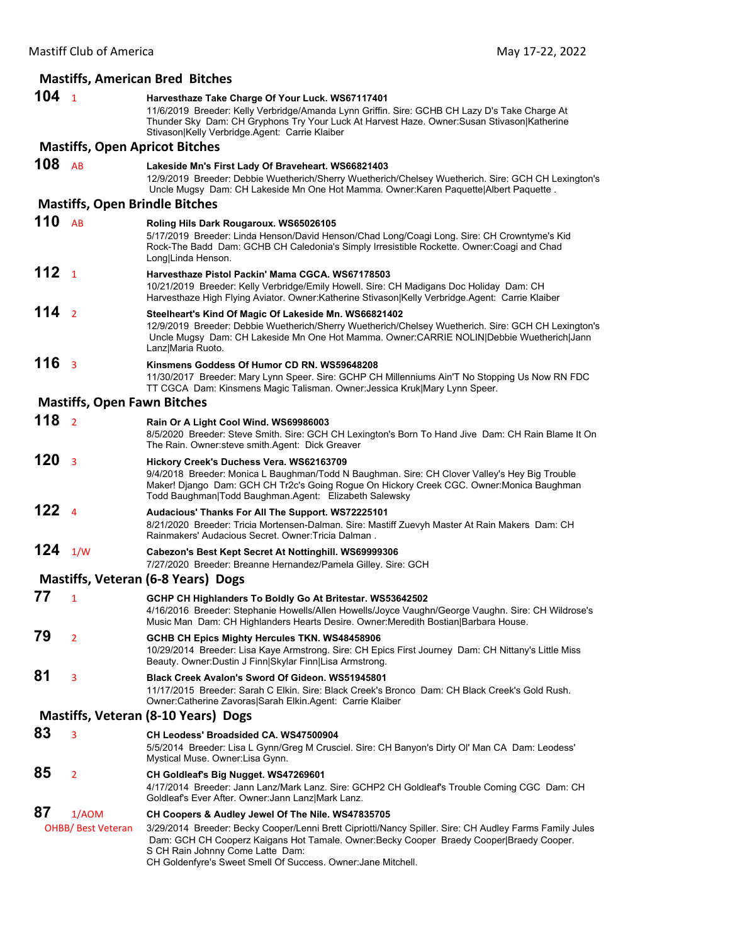|                  |                                    | <b>Mastiffs, American Bred Bitches</b>                                                                                                                                                                                                                                                                  |
|------------------|------------------------------------|---------------------------------------------------------------------------------------------------------------------------------------------------------------------------------------------------------------------------------------------------------------------------------------------------------|
| 104 <sub>1</sub> |                                    | Harvesthaze Take Charge Of Your Luck. WS67117401<br>11/6/2019 Breeder: Kelly Verbridge/Amanda Lynn Griffin. Sire: GCHB CH Lazy D's Take Charge At<br>Thunder Sky Dam: CH Gryphons Try Your Luck At Harvest Haze. Owner: Susan Stivason   Katherine<br>Stivason Kelly Verbridge.Agent: Carrie Klaiber    |
|                  |                                    | <b>Mastiffs, Open Apricot Bitches</b>                                                                                                                                                                                                                                                                   |
| $108$ AB         |                                    | Lakeside Mn's First Lady Of Braveheart. WS66821403<br>12/9/2019 Breeder: Debbie Wuetherich/Sherry Wuetherich/Chelsey Wuetherich. Sire: GCH CH Lexington's<br>Uncle Mugsy Dam: CH Lakeside Mn One Hot Mamma. Owner: Karen Paquette Albert Paquette.                                                      |
|                  |                                    | <b>Mastiffs, Open Brindle Bitches</b>                                                                                                                                                                                                                                                                   |
| 110              | AB                                 | Roling Hils Dark Rougaroux. WS65026105<br>5/17/2019 Breeder: Linda Henson/David Henson/Chad Long/Coagi Long. Sire: CH Crowntyme's Kid<br>Rock-The Badd Dam: GCHB CH Caledonia's Simply Irresistible Rockette. Owner:Coagi and Chad<br>Long Linda Henson.                                                |
| 112              | $\overline{1}$                     | Harvesthaze Pistol Packin' Mama CGCA. WS67178503<br>10/21/2019 Breeder: Kelly Verbridge/Emily Howell. Sire: CH Madigans Doc Holiday Dam: CH<br>Harvesthaze High Flying Aviator. Owner: Katherine Stivason Kelly Verbridge. Agent: Carrie Klaiber                                                        |
| 114 <sub>2</sub> |                                    | Steelheart's Kind Of Magic Of Lakeside Mn. WS66821402<br>12/9/2019 Breeder: Debbie Wuetherich/Sherry Wuetherich/Chelsey Wuetherich. Sire: GCH CH Lexington's<br>Uncle Mugsy Dam: CH Lakeside Mn One Hot Mamma. Owner:CARRIE NOLIN Debbie Wuetherich Jann<br>Lanz Maria Ruoto.                           |
| 116 <sub>3</sub> |                                    | Kinsmens Goddess Of Humor CD RN. WS59648208<br>11/30/2017 Breeder: Mary Lynn Speer. Sire: GCHP CH Millenniums Ain'T No Stopping Us Now RN FDC<br>TT CGCA Dam: Kinsmens Magic Talisman. Owner: Jessica Kruk Mary Lynn Speer.                                                                             |
|                  | <b>Mastiffs, Open Fawn Bitches</b> |                                                                                                                                                                                                                                                                                                         |
| 118 <sub>2</sub> |                                    | Rain Or A Light Cool Wind. WS69986003<br>8/5/2020 Breeder: Steve Smith. Sire: GCH CH Lexington's Born To Hand Jive Dam: CH Rain Blame It On<br>The Rain. Owner: steve smith. Agent: Dick Greaver                                                                                                        |
| 120              | $\overline{\mathbf{3}}$            | Hickory Creek's Duchess Vera. WS62163709<br>9/4/2018 Breeder: Monica L Baughman/Todd N Baughman. Sire: CH Clover Valley's Hey Big Trouble<br>Maker! Django Dam: GCH CH Tr2c's Going Rogue On Hickory Creek CGC. Owner: Monica Baughman<br>Todd Baughman Todd Baughman.Agent: Elizabeth Salewsky         |
| 122              | $\overline{4}$                     | Audacious' Thanks For All The Support. WS72225101<br>8/21/2020 Breeder: Tricia Mortensen-Dalman. Sire: Mastiff Zuevyh Master At Rain Makers Dam: CH<br>Rainmakers' Audacious Secret. Owner: Tricia Dalman.                                                                                              |
| 124 $1/w$        |                                    | Cabezon's Best Kept Secret At Nottinghill. WS69999306<br>7/27/2020 Breeder: Breanne Hernandez/Pamela Gilley. Sire: GCH                                                                                                                                                                                  |
|                  |                                    | Mastiffs, Veteran (6-8 Years) Dogs                                                                                                                                                                                                                                                                      |
| 77               | 1                                  | GCHP CH Highlanders To Boldly Go At Britestar. WS53642502<br>4/16/2016 Breeder: Stephanie Howells/Allen Howells/Joyce Vaughn/George Vaughn. Sire: CH Wildrose's<br>Music Man Dam: CH Highlanders Hearts Desire. Owner: Meredith Bostian   Barbara House.                                                |
| 79               | $\overline{2}$                     | <b>GCHB CH Epics Mighty Hercules TKN. WS48458906</b><br>10/29/2014 Breeder: Lisa Kaye Armstrong. Sire: CH Epics First Journey Dam: CH Nittany's Little Miss<br>Beauty. Owner: Dustin J Finn Skylar Finn Lisa Armstrong.                                                                                 |
| 81               | 3                                  | Black Creek Avalon's Sword Of Gideon. WS51945801<br>11/17/2015 Breeder: Sarah C Elkin. Sire: Black Creek's Bronco Dam: CH Black Creek's Gold Rush.<br>Owner: Catherine Zavoras Sarah Elkin. Agent: Carrie Klaiber                                                                                       |
|                  |                                    | Mastiffs, Veteran (8-10 Years) Dogs                                                                                                                                                                                                                                                                     |
| 83               | 3                                  | CH Leodess' Broadsided CA. WS47500904                                                                                                                                                                                                                                                                   |
|                  |                                    | 5/5/2014 Breeder: Lisa L Gynn/Greg M Crusciel. Sire: CH Banyon's Dirty Ol' Man CA Dam: Leodess'<br>Mystical Muse. Owner:Lisa Gynn.                                                                                                                                                                      |
| 85               | $\overline{2}$                     | CH Goldleaf's Big Nugget. WS47269601<br>4/17/2014 Breeder: Jann Lanz/Mark Lanz. Sire: GCHP2 CH Goldleaf's Trouble Coming CGC Dam: CH<br>Goldleaf's Ever After. Owner: Jann Lanz Mark Lanz.                                                                                                              |
| 87               | 1/AOM                              | CH Coopers & Audley Jewel Of The Nile. WS47835705                                                                                                                                                                                                                                                       |
|                  | <b>OHBB/ Best Veteran</b>          | 3/29/2014 Breeder: Becky Cooper/Lenni Brett Cipriotti/Nancy Spiller. Sire: CH Audley Farms Family Jules<br>Dam: GCH CH Cooperz Kaigans Hot Tamale. Owner:Becky Cooper Braedy Cooper Braedy Cooper.<br>S CH Rain Johnny Come Latte Dam:<br>CH Goldenfyre's Sweet Smell Of Success. Owner: Jane Mitchell. |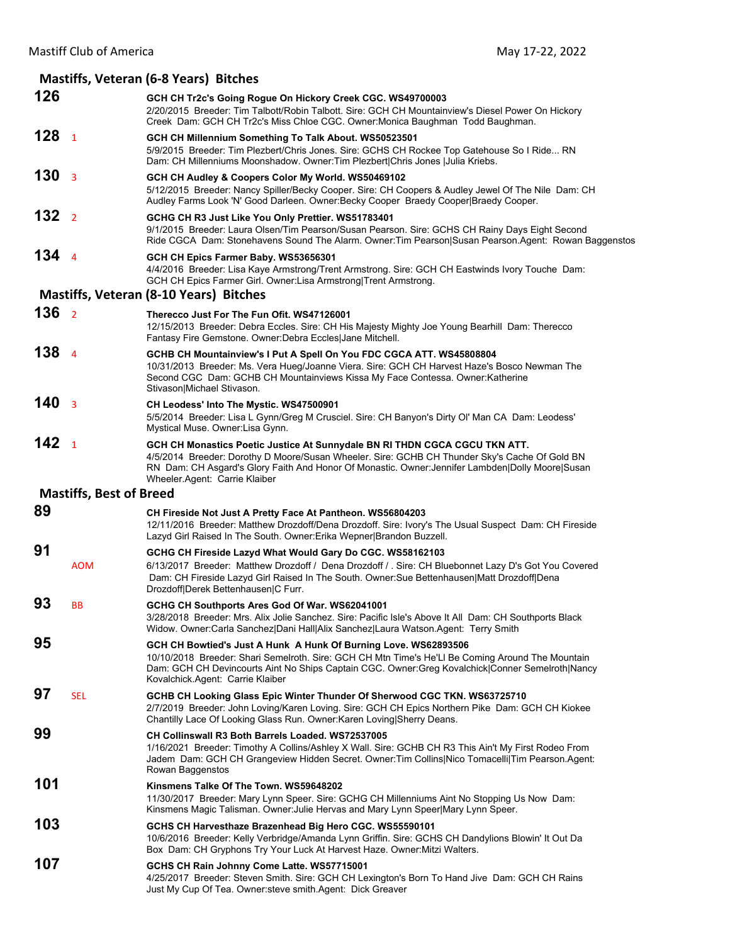### **Mastiffs, Veteran (6‐8 Years) Bitches 126 GCH CH Tr2c's Going Rogue On Hickory Creek CGC. WS49700003** 2/20/2015 Breeder: Tim Talbott/Robin Talbott. Sire: GCH CH Mountainview's Diesel Power On Hickory Creek Dam: GCH CH Tr2c's Miss Chloe CGC. Owner:Monica Baughman Todd Baughman. **128** <sup>1</sup> **GCH CH Millennium Something To Talk About. WS50523501** 5/9/2015 Breeder: Tim Plezbert/Chris Jones. Sire: GCHS CH Rockee Top Gatehouse So I Ride... RN Dam: CH Millenniums Moonshadow. Owner:Tim Plezbert|Chris Jones |Julia Kriebs. **130** <sup>3</sup> **GCH CH Audley & Coopers Color My World. WS50469102** 5/12/2015 Breeder: Nancy Spiller/Becky Cooper. Sire: CH Coopers & Audley Jewel Of The Nile Dam: CH Audley Farms Look 'N' Good Darleen. Owner:Becky Cooper Braedy Cooper|Braedy Cooper. **132** <sup>2</sup> **GCHG CH R3 Just Like You Only Prettier. WS51783401** 9/1/2015 Breeder: Laura Olsen/Tim Pearson/Susan Pearson. Sire: GCHS CH Rainy Days Eight Second Ride CGCA Dam: Stonehavens Sound The Alarm. Owner:Tim Pearson|Susan Pearson.Agent: Rowan Baggenstos **134** <sup>4</sup> **GCH CH Epics Farmer Baby. WS53656301** 4/4/2016 Breeder: Lisa Kaye Armstrong/Trent Armstrong. Sire: GCH CH Eastwinds Ivory Touche Dam: GCH CH Epics Farmer Girl. Owner:Lisa Armstrong|Trent Armstrong. **Mastiffs, Veteran (8‐10 Years) Bitches 136** <sup>2</sup> **Therecco Just For The Fun Ofit. WS47126001** 12/15/2013 Breeder: Debra Eccles. Sire: CH His Majesty Mighty Joe Young Bearhill Dam: Therecco Fantasy Fire Gemstone. Owner:Debra Eccles|Jane Mitchell. **138** <sup>4</sup> **GCHB CH Mountainview's I Put A Spell On You FDC CGCA ATT. WS45808804** 10/31/2013 Breeder: Ms. Vera Hueg/Joanne Viera. Sire: GCH CH Harvest Haze's Bosco Newman The Second CGC Dam: GCHB CH Mountainviews Kissa My Face Contessa. Owner:Katherine Stivason|Michael Stivason. **140** <sup>3</sup> **CH Leodess' Into The Mystic. WS47500901** 5/5/2014 Breeder: Lisa L Gynn/Greg M Crusciel. Sire: CH Banyon's Dirty Ol' Man CA Dam: Leodess' Mystical Muse. Owner:Lisa Gynn. **142** <sup>1</sup> **GCH CH Monastics Poetic Justice At Sunnydale BN RI THDN CGCA CGCU TKN ATT.**  4/5/2014 Breeder: Dorothy D Moore/Susan Wheeler. Sire: GCHB CH Thunder Sky's Cache Of Gold BN RN Dam: CH Asgard's Glory Faith And Honor Of Monastic. Owner:Jennifer Lambden|Dolly Moore|Susan Wheeler.Agent: Carrie Klaiber **Mastiffs, Best of Breed 89 CH Fireside Not Just A Pretty Face At Pantheon. WS56804203** 12/11/2016 Breeder: Matthew Drozdoff/Dena Drozdoff. Sire: Ivory's The Usual Suspect Dam: CH Fireside Lazyd Girl Raised In The South. Owner:Erika Wepner|Brandon Buzzell. **91 GCHG CH Fireside Lazyd What Would Gary Do CGC. WS58162103** AOM 6/13/2017 Breeder: Matthew Drozdoff / Dena Drozdoff / . Sire: CH Bluebonnet Lazy D's Got You Covered Dam: CH Fireside Lazyd Girl Raised In The South. Owner:Sue Bettenhausen|Matt Drozdoff|Dena Drozdoff|Derek Bettenhausen|C Furr. **93** BB **GCHG CH Southports Ares God Of War. WS62041001** 3/28/2018 Breeder: Mrs. Alix Jolie Sanchez. Sire: Pacific Isle's Above It All Dam: CH Southports Black Widow. Owner:Carla Sanchez|Dani Hall|Alix Sanchez|Laura Watson.Agent: Terry Smith **95 GCH CH Bowtied's Just A Hunk A Hunk Of Burning Love. WS62893506** 10/10/2018 Breeder: Shari Semelroth. Sire: GCH CH Mtn Time's He'Ll Be Coming Around The Mountain Dam: GCH CH Devincourts Aint No Ships Captain CGC. Owner:Greg Kovalchick|Conner Semelroth|Nancy Kovalchick.Agent: Carrie Klaiber **97** SEL **GCHB CH Looking Glass Epic Winter Thunder Of Sherwood CGC TKN. WS63725710** 2/7/2019 Breeder: John Loving/Karen Loving. Sire: GCH CH Epics Northern Pike Dam: GCH CH Kiokee Chantilly Lace Of Looking Glass Run. Owner:Karen Loving|Sherry Deans. **99 CH Collinswall R3 Both Barrels Loaded. WS72537005** 1/16/2021 Breeder: Timothy A Collins/Ashley X Wall. Sire: GCHB CH R3 This Ain't My First Rodeo From Jadem Dam: GCH CH Grangeview Hidden Secret. Owner:Tim Collins|Nico Tomacelli|Tim Pearson.Agent: Rowan Baggenstos **101 Kinsmens Talke Of The Town. WS59648202** 11/30/2017 Breeder: Mary Lynn Speer. Sire: GCHG CH Millenniums Aint No Stopping Us Now Dam: Kinsmens Magic Talisman. Owner:Julie Hervas and Mary Lynn Speer|Mary Lynn Speer. **103 GCHS CH Harvesthaze Brazenhead Big Hero CGC. WS55590101** 10/6/2016 Breeder: Kelly Verbridge/Amanda Lynn Griffin. Sire: GCHS CH Dandylions Blowin' It Out Da Box Dam: CH Gryphons Try Your Luck At Harvest Haze. Owner:Mitzi Walters. **107 GCHS CH Rain Johnny Come Latte. WS57715001** 4/25/2017 Breeder: Steven Smith. Sire: GCH CH Lexington's Born To Hand Jive Dam: GCH CH Rains Just My Cup Of Tea. Owner:steve smith.Agent: Dick Greaver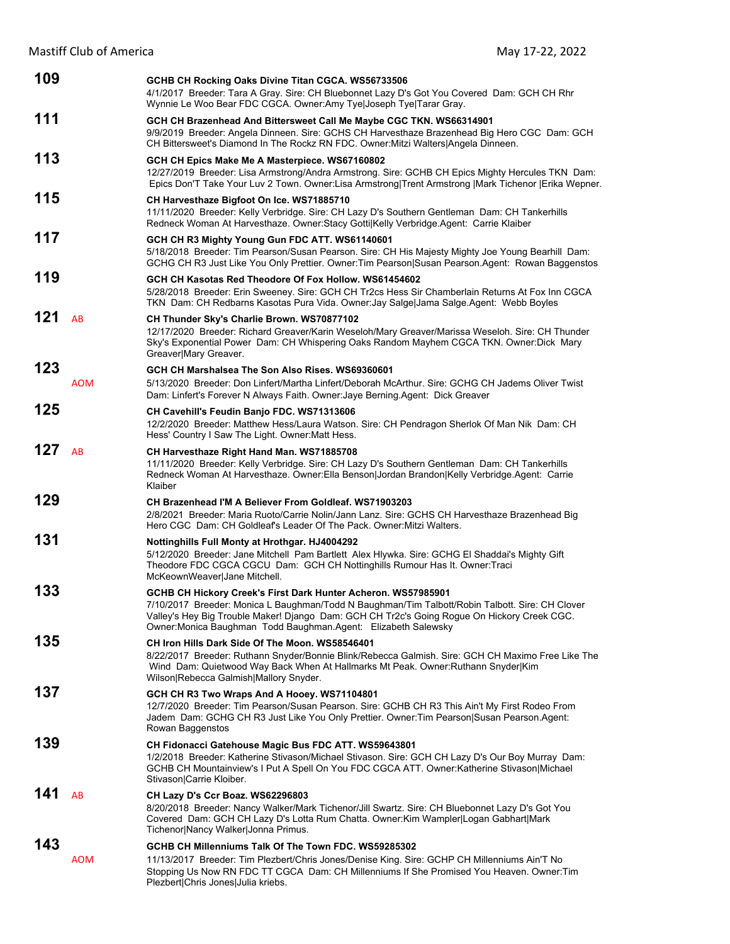| 109 |            | GCHB CH Rocking Oaks Divine Titan CGCA. WS56733506<br>4/1/2017 Breeder: Tara A Gray. Sire: CH Bluebonnet Lazy D's Got You Covered Dam: GCH CH Rhr<br>Wynnie Le Woo Bear FDC CGCA. Owner:Amy Tye Joseph Tye Tarar Gray.                                                                                                             |
|-----|------------|------------------------------------------------------------------------------------------------------------------------------------------------------------------------------------------------------------------------------------------------------------------------------------------------------------------------------------|
| 111 |            | GCH CH Brazenhead And Bittersweet Call Me Maybe CGC TKN. WS66314901<br>9/9/2019 Breeder: Angela Dinneen. Sire: GCHS CH Harvesthaze Brazenhead Big Hero CGC Dam: GCH<br>CH Bittersweet's Diamond In The Rockz RN FDC. Owner: Mitzi Walters   Angela Dinneen.                                                                        |
| 113 |            | GCH CH Epics Make Me A Masterpiece. WS67160802<br>12/27/2019 Breeder: Lisa Armstrong/Andra Armstrong. Sire: GCHB CH Epics Mighty Hercules TKN Dam:<br>Epics Don'T Take Your Luv 2 Town. Owner:Lisa Armstrong Trent Armstrong  Mark Tichenor  Erika Wepner.                                                                         |
| 115 |            | CH Harvesthaze Bigfoot On Ice. WS71885710<br>11/11/2020 Breeder: Kelly Verbridge. Sire: CH Lazy D's Southern Gentleman Dam: CH Tankerhills<br>Redneck Woman At Harvesthaze. Owner:Stacy Gotti Kelly Verbridge.Agent: Carrie Klaiber                                                                                                |
| 117 |            | GCH CH R3 Mighty Young Gun FDC ATT. WS61140601<br>5/18/2018 Breeder: Tim Pearson/Susan Pearson. Sire: CH His Majesty Mighty Joe Young Bearhill Dam:<br>GCHG CH R3 Just Like You Only Prettier. Owner: Tim Pearson Susan Pearson. Agent: Rowan Baggenstos                                                                           |
| 119 |            | GCH CH Kasotas Red Theodore Of Fox Hollow. WS61454602<br>5/28/2018 Breeder: Erin Sweeney. Sire: GCH CH Tr2cs Hess Sir Chamberlain Returns At Fox Inn CGCA<br>TKN Dam: CH Redbarns Kasotas Pura Vida. Owner: Jay Salge Jama Salge. Agent: Webb Boyles                                                                               |
| 121 | AB         | CH Thunder Sky's Charlie Brown. WS70877102<br>12/17/2020 Breeder: Richard Greaver/Karin Weseloh/Mary Greaver/Marissa Weseloh. Sire: CH Thunder<br>Sky's Exponential Power Dam: CH Whispering Oaks Random Mayhem CGCA TKN. Owner:Dick Mary<br>Greaver Mary Greaver.                                                                 |
| 123 | <b>AOM</b> | GCH CH Marshalsea The Son Also Rises, WS69360601<br>5/13/2020 Breeder: Don Linfert/Martha Linfert/Deborah McArthur. Sire: GCHG CH Jadems Oliver Twist<br>Dam: Linfert's Forever N Always Faith. Owner: Jaye Berning. Agent: Dick Greaver                                                                                           |
| 125 |            | CH Cavehill's Feudin Banjo FDC. WS71313606<br>12/2/2020 Breeder: Matthew Hess/Laura Watson. Sire: CH Pendragon Sherlok Of Man Nik Dam: CH<br>Hess' Country I Saw The Light. Owner: Matt Hess.                                                                                                                                      |
| 127 | AB         | CH Harvesthaze Right Hand Man. WS71885708<br>11/11/2020 Breeder: Kelly Verbridge. Sire: CH Lazy D's Southern Gentleman Dam: CH Tankerhills<br>Redneck Woman At Harvesthaze. Owner: Ella Benson Jordan Brandon Kelly Verbridge. Agent: Carrie<br>Klaiber                                                                            |
| 129 |            | CH Brazenhead I'M A Believer From Goldleaf, WS71903203<br>2/8/2021 Breeder: Maria Ruoto/Carrie Nolin/Jann Lanz. Sire: GCHS CH Harvesthaze Brazenhead Big<br>Hero CGC Dam: CH Goldleaf's Leader Of The Pack. Owner: Mitzi Walters.                                                                                                  |
| 131 |            | <b>Nottinghills Full Monty at Hrothgar. HJ4004292</b><br>5/12/2020 Breeder: Jane Mitchell Pam Bartlett Alex Hlywka. Sire: GCHG El Shaddai's Mighty Gift<br>Theodore FDC CGCA CGCU Dam: GCH CH Nottinghills Rumour Has It. Owner:Traci<br>McKeownWeaver Jane Mitchell.                                                              |
| 133 |            | GCHB CH Hickory Creek's First Dark Hunter Acheron. WS57985901<br>7/10/2017 Breeder: Monica L Baughman/Todd N Baughman/Tim Talbott/Robin Talbott. Sire: CH Clover<br>Valley's Hey Big Trouble Maker! Django Dam: GCH CH Tr2c's Going Rogue On Hickory Creek CGC.<br>Owner: Monica Baughman Todd Baughman. Agent: Elizabeth Salewsky |
| 135 |            | CH Iron Hills Dark Side Of The Moon. WS58546401<br>8/22/2017 Breeder: Ruthann Snyder/Bonnie Blink/Rebecca Galmish. Sire: GCH CH Maximo Free Like The<br>Wind Dam: Quietwood Way Back When At Hallmarks Mt Peak. Owner: Ruthann Snyder Kim<br>Wilson Rebecca Galmish Mallory Snyder.                                                |
| 137 |            | GCH CH R3 Two Wraps And A Hooey. WS71104801<br>12/7/2020 Breeder: Tim Pearson/Susan Pearson. Sire: GCHB CH R3 This Ain't My First Rodeo From<br>Jadem Dam: GCHG CH R3 Just Like You Only Prettier. Owner: Tim Pearson Susan Pearson. Agent:<br>Rowan Baggenstos                                                                    |
| 139 |            | CH Fidonacci Gatehouse Magic Bus FDC ATT. WS59643801<br>1/2/2018 Breeder: Katherine Stivason/Michael Stivason. Sire: GCH CH Lazy D's Our Boy Murray Dam:<br>GCHB CH Mountainview's I Put A Spell On You FDC CGCA ATT. Owner: Katherine Stivason Michael<br>Stivason Carrie Kloiber.                                                |
| 141 | <b>AB</b>  | CH Lazy D's Ccr Boaz. WS62296803<br>8/20/2018 Breeder: Nancy Walker/Mark Tichenor/Jill Swartz. Sire: CH Bluebonnet Lazy D's Got You<br>Covered Dam: GCH CH Lazy D's Lotta Rum Chatta. Owner: Kim Wampler Logan Gabhart Mark<br>Tichenor Nancy Walker Jonna Primus.                                                                 |
| 143 | <b>AOM</b> | GCHB CH Millenniums Talk Of The Town FDC. WS59285302<br>11/13/2017 Breeder: Tim Plezbert/Chris Jones/Denise King. Sire: GCHP CH Millenniums Ain'T No<br>Stopping Us Now RN FDC TT CGCA Dam: CH Millenniums If She Promised You Heaven. Owner: Tim<br>Plezbert Chris Jones Julia kriebs.                                            |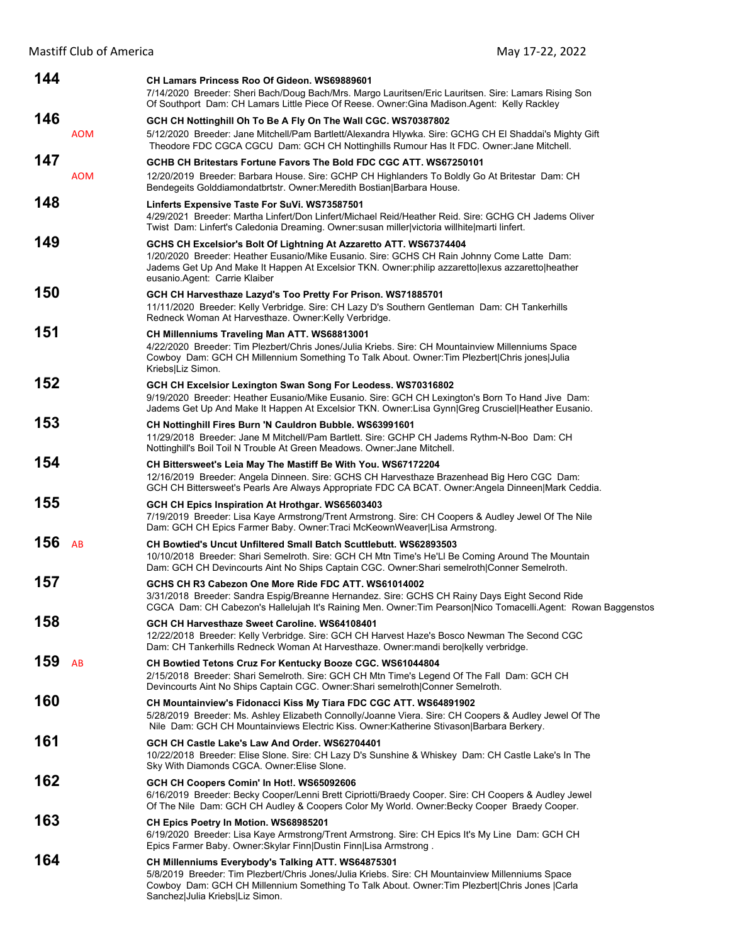| 144 |            | CH Lamars Princess Roo Of Gideon. WS69889601<br>7/14/2020 Breeder: Sheri Bach/Doug Bach/Mrs. Margo Lauritsen/Eric Lauritsen. Sire: Lamars Rising Son<br>Of Southport Dam: CH Lamars Little Piece Of Reese. Owner: Gina Madison. Agent: Kelly Rackley                                                   |
|-----|------------|--------------------------------------------------------------------------------------------------------------------------------------------------------------------------------------------------------------------------------------------------------------------------------------------------------|
| 146 | <b>AOM</b> | GCH CH Nottinghill Oh To Be A Fly On The Wall CGC. WS70387802<br>5/12/2020 Breeder: Jane Mitchell/Pam Bartlett/Alexandra Hlywka. Sire: GCHG CH El Shaddai's Mighty Gift<br>Theodore FDC CGCA CGCU Dam: GCH CH Nottinghills Rumour Has It FDC. Owner: Jane Mitchell.                                    |
| 147 | <b>AOM</b> | GCHB CH Britestars Fortune Favors The Bold FDC CGC ATT. WS67250101<br>12/20/2019 Breeder: Barbara House. Sire: GCHP CH Highlanders To Boldly Go At Britestar Dam: CH<br>Bendegeits Golddiamondatbrtstr. Owner: Meredith Bostian Barbara House.                                                         |
| 148 |            | Linferts Expensive Taste For SuVi. WS73587501<br>4/29/2021 Breeder: Martha Linfert/Don Linfert/Michael Reid/Heather Reid. Sire: GCHG CH Jadems Oliver<br>Twist Dam: Linfert's Caledonia Dreaming. Owner: susan miller victoria willhite marti linfert.                                                 |
| 149 |            | GCHS CH Excelsior's Bolt Of Lightning At Azzaretto ATT. WS67374404<br>1/20/2020 Breeder: Heather Eusanio/Mike Eusanio. Sire: GCHS CH Rain Johnny Come Latte Dam:<br>Jadems Get Up And Make It Happen At Excelsior TKN. Owner:philip azzaretto lexus azzaretto heather<br>eusanio.Agent: Carrie Klaiber |
| 150 |            | GCH CH Harvesthaze Lazyd's Too Pretty For Prison. WS71885701<br>11/11/2020 Breeder: Kelly Verbridge. Sire: CH Lazy D's Southern Gentleman Dam: CH Tankerhills<br>Redneck Woman At Harvesthaze. Owner: Kelly Verbridge.                                                                                 |
| 151 |            | CH Millenniums Traveling Man ATT. WS68813001<br>4/22/2020 Breeder: Tim Plezbert/Chris Jones/Julia Kriebs. Sire: CH Mountainview Millenniums Space<br>Cowboy Dam: GCH CH Millennium Something To Talk About. Owner: Tim Plezbert Chris jones Julia<br>Kriebs Liz Simon.                                 |
| 152 |            | GCH CH Excelsior Lexington Swan Song For Leodess. WS70316802<br>9/19/2020 Breeder: Heather Eusanio/Mike Eusanio. Sire: GCH CH Lexington's Born To Hand Jive Dam:<br>Jadems Get Up And Make It Happen At Excelsior TKN. Owner:Lisa Gynn Greg Crusciel Heather Eusanio.                                  |
| 153 |            | CH Nottinghill Fires Burn 'N Cauldron Bubble. WS63991601<br>11/29/2018 Breeder: Jane M Mitchell/Pam Bartlett. Sire: GCHP CH Jadems Rythm-N-Boo Dam: CH<br>Nottinghill's Boil Toil N Trouble At Green Meadows. Owner: Jane Mitchell.                                                                    |
| 154 |            | CH Bittersweet's Leia May The Mastiff Be With You. WS67172204<br>12/16/2019 Breeder: Angela Dinneen. Sire: GCHS CH Harvesthaze Brazenhead Big Hero CGC Dam:<br>GCH CH Bittersweet's Pearls Are Always Appropriate FDC CA BCAT. Owner: Angela Dinneen Mark Ceddia.                                      |
| 155 |            | GCH CH Epics Inspiration At Hrothgar. WS65603403<br>7/19/2019 Breeder: Lisa Kaye Armstrong/Trent Armstrong. Sire: CH Coopers & Audley Jewel Of The Nile<br>Dam: GCH CH Epics Farmer Baby. Owner: Traci McKeownWeaver Lisa Armstrong.                                                                   |
| 156 | AB         | <b>CH Bowtied's Uncut Unfiltered Small Batch Scuttlebutt, WS62893503</b><br>10/10/2018 Breeder: Shari Semelroth. Sire: GCH CH Mtn Time's He'Ll Be Coming Around The Mountain<br>Dam: GCH CH Devincourts Aint No Ships Captain CGC. Owner: Shari semelroth Conner Semelroth.                            |
| 157 |            | GCHS CH R3 Cabezon One More Ride FDC ATT. WS61014002<br>3/31/2018 Breeder: Sandra Espig/Breanne Hernandez. Sire: GCHS CH Rainy Days Eight Second Ride<br>CGCA Dam: CH Cabezon's Hallelujah It's Raining Men. Owner: Tim Pearson Nico Tomacelli. Agent: Rowan Baggenstos                                |
| 158 |            | GCH CH Harvesthaze Sweet Caroline. WS64108401<br>12/22/2018 Breeder: Kelly Verbridge. Sire: GCH CH Harvest Haze's Bosco Newman The Second CGC<br>Dam: CH Tankerhills Redneck Woman At Harvesthaze. Owner:mandi bero kelly verbridge.                                                                   |
| 159 | AB         | CH Bowtied Tetons Cruz For Kentucky Booze CGC. WS61044804<br>2/15/2018 Breeder: Shari Semelroth. Sire: GCH CH Mtn Time's Legend Of The Fall Dam: GCH CH<br>Devincourts Aint No Ships Captain CGC. Owner: Shari semelroth Conner Semelroth.                                                             |
| 160 |            | CH Mountainview's Fidonacci Kiss My Tiara FDC CGC ATT. WS64891902<br>5/28/2019 Breeder: Ms. Ashley Elizabeth Connolly/Joanne Viera. Sire: CH Coopers & Audley Jewel Of The<br>Nile Dam: GCH CH Mountainviews Electric Kiss. Owner: Katherine Stivason   Barbara Berkery.                               |
| 161 |            | GCH CH Castle Lake's Law And Order, WS62704401<br>10/22/2018 Breeder: Elise Slone. Sire: CH Lazy D's Sunshine & Whiskey Dam: CH Castle Lake's In The<br>Sky With Diamonds CGCA. Owner: Elise Slone.                                                                                                    |
| 162 |            | GCH CH Coopers Comin' In Hot!. WS65092606<br>6/16/2019 Breeder: Becky Cooper/Lenni Brett Cipriotti/Braedy Cooper. Sire: CH Coopers & Audley Jewel<br>Of The Nile Dam: GCH CH Audley & Coopers Color My World. Owner: Becky Cooper Braedy Cooper.                                                       |
| 163 |            | CH Epics Poetry In Motion. WS68985201<br>6/19/2020 Breeder: Lisa Kaye Armstrong/Trent Armstrong. Sire: CH Epics It's My Line Dam: GCH CH<br>Epics Farmer Baby. Owner: Skylar Finn   Dustin Finn   Lisa Armstrong.                                                                                      |
| 164 |            | CH Millenniums Everybody's Talking ATT. WS64875301<br>5/8/2019 Breeder: Tim Plezbert/Chris Jones/Julia Kriebs. Sire: CH Mountainview Millenniums Space<br>Cowboy Dam: GCH CH Millennium Something To Talk About. Owner: Tim Plezbert Chris Jones  Carla<br>Sanchez Julia Kriebs Liz Simon.             |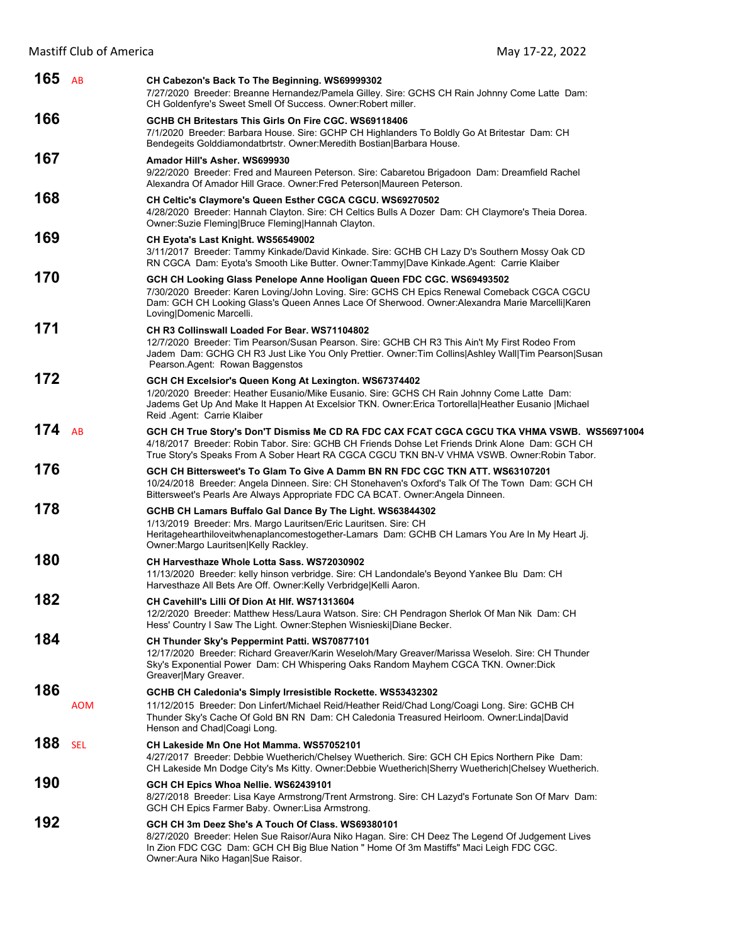| 165 $AB$ |            |                                                                                                                                                                                                                                                                                                     |
|----------|------------|-----------------------------------------------------------------------------------------------------------------------------------------------------------------------------------------------------------------------------------------------------------------------------------------------------|
|          |            | CH Cabezon's Back To The Beginning. WS69999302<br>7/27/2020 Breeder: Breanne Hernandez/Pamela Gilley. Sire: GCHS CH Rain Johnny Come Latte Dam:<br>CH Goldenfyre's Sweet Smell Of Success. Owner: Robert miller.                                                                                    |
| 166      |            | GCHB CH Britestars This Girls On Fire CGC. WS69118406<br>7/1/2020 Breeder: Barbara House. Sire: GCHP CH Highlanders To Boldly Go At Britestar Dam: CH<br>Bendegeits Golddiamondatbrtstr. Owner: Meredith Bostian Barbara House.                                                                     |
| 167      |            | Amador Hill's Asher, WS699930<br>9/22/2020 Breeder: Fred and Maureen Peterson. Sire: Cabaretou Brigadoon Dam: Dreamfield Rachel<br>Alexandra Of Amador Hill Grace. Owner: Fred Peterson Maureen Peterson.                                                                                           |
| 168      |            | CH Celtic's Claymore's Queen Esther CGCA CGCU. WS69270502<br>4/28/2020 Breeder: Hannah Clayton. Sire: CH Celtics Bulls A Dozer Dam: CH Claymore's Theia Dorea.<br>Owner: Suzie Fleming Bruce Fleming Hannah Clayton.                                                                                |
| 169      |            | CH Eyota's Last Knight. WS56549002<br>3/11/2017 Breeder: Tammy Kinkade/David Kinkade. Sire: GCHB CH Lazy D's Southern Mossy Oak CD<br>RN CGCA Dam: Eyota's Smooth Like Butter. Owner: Tammy Dave Kinkade. Agent: Carrie Klaiber                                                                     |
| 170      |            | GCH CH Looking Glass Penelope Anne Hooligan Queen FDC CGC. WS69493502<br>7/30/2020 Breeder: Karen Loving/John Loving. Sire: GCHS CH Epics Renewal Comeback CGCA CGCU<br>Dam: GCH CH Looking Glass's Queen Annes Lace Of Sherwood. Owner: Alexandra Marie Marcelli Karen<br>Loving Domenic Marcelli. |
| 171      |            | CH R3 Collinswall Loaded For Bear, WS71104802<br>12/7/2020 Breeder: Tim Pearson/Susan Pearson. Sire: GCHB CH R3 This Ain't My First Rodeo From<br>Jadem Dam: GCHG CH R3 Just Like You Only Prettier. Owner:Tim Collins Ashley Wall Tim Pearson Susan<br>Pearson.Agent: Rowan Baggenstos             |
| 172      |            | GCH CH Excelsior's Queen Kong At Lexington. WS67374402<br>1/20/2020 Breeder: Heather Eusanio/Mike Eusanio. Sire: GCHS CH Rain Johnny Come Latte Dam:<br>Jadems Get Up And Make It Happen At Excelsior TKN. Owner: Erica Tortorella Heather Eusanio   Michael<br>Reid .Agent: Carrie Klaiber         |
| 174 $AB$ |            | GCH CH True Story's Don'T Dismiss Me CD RA FDC CAX FCAT CGCA CGCU TKA VHMA VSWB. WS56971004<br>4/18/2017 Breeder: Robin Tabor. Sire: GCHB CH Friends Dohse Let Friends Drink Alone Dam: GCH CH<br>True Story's Speaks From A Sober Heart RA CGCA CGCU TKN BN-V VHMA VSWB. Owner: Robin Tabor.       |
| 176      |            | GCH CH Bittersweet's To Glam To Give A Damm BN RN FDC CGC TKN ATT. WS63107201<br>10/24/2018 Breeder: Angela Dinneen. Sire: CH Stonehaven's Oxford's Talk Of The Town Dam: GCH CH<br>Bittersweet's Pearls Are Always Appropriate FDC CA BCAT. Owner: Angela Dinneen.                                 |
| 178      |            | GCHB CH Lamars Buffalo Gal Dance By The Light. WS63844302<br>1/13/2019 Breeder: Mrs. Margo Lauritsen/Eric Lauritsen. Sire: CH<br>Heritagehearthiloveitwhenaplancomestogether-Lamars Dam: GCHB CH Lamars You Are In My Heart Jj.<br>Owner:Margo Lauritsen Kelly Rackley.                             |
| 180      |            | CH Harvesthaze Whole Lotta Sass. WS72030902<br>11/13/2020 Breeder: kelly hinson verbridge. Sire: CH Landondale's Beyond Yankee Blu Dam: CH<br>Harvesthaze All Bets Are Off. Owner: Kelly Verbridge Kelli Aaron.                                                                                     |
| 182      |            | CH Cavehill's Lilli Of Dion At HIf. WS71313604<br>12/2/2020 Breeder: Matthew Hess/Laura Watson. Sire: CH Pendragon Sherlok Of Man Nik Dam: CH<br>Hess' Country I Saw The Light. Owner: Stephen Wisnieski Diane Becker.                                                                              |
| 184      |            | CH Thunder Sky's Peppermint Patti. WS70877101<br>12/17/2020 Breeder: Richard Greaver/Karin Weseloh/Mary Greaver/Marissa Weseloh. Sire: CH Thunder<br>Sky's Exponential Power Dam: CH Whispering Oaks Random Mayhem CGCA TKN. Owner:Dick<br>Greaver Mary Greaver.                                    |
| 186      | AOM        | GCHB CH Caledonia's Simply Irresistible Rockette. WS53432302<br>11/12/2015 Breeder: Don Linfert/Michael Reid/Heather Reid/Chad Long/Coagi Long. Sire: GCHB CH<br>Thunder Sky's Cache Of Gold BN RN Dam: CH Caledonia Treasured Heirloom. Owner:Linda David<br>Henson and Chad Coagi Long.           |
| 188      | <b>SEL</b> | CH Lakeside Mn One Hot Mamma. WS57052101<br>4/27/2017 Breeder: Debbie Wuetherich/Chelsey Wuetherich. Sire: GCH CH Epics Northern Pike Dam:<br>CH Lakeside Mn Dodge City's Ms Kitty. Owner:Debbie Wuetherich Sherry Wuetherich Chelsey Wuetherich.                                                   |
| 190      |            | GCH CH Epics Whoa Nellie. WS62439101<br>8/27/2018 Breeder: Lisa Kaye Armstrong/Trent Armstrong. Sire: CH Lazyd's Fortunate Son Of Marv Dam:<br>GCH CH Epics Farmer Baby. Owner: Lisa Armstrong.                                                                                                     |
| 192      |            | GCH CH 3m Deez She's A Touch Of Class. WS69380101<br>8/27/2020 Breeder: Helen Sue Raisor/Aura Niko Hagan. Sire: CH Deez The Legend Of Judgement Lives<br>In Zion FDC CGC Dam: GCH CH Big Blue Nation " Home Of 3m Mastiffs" Maci Leigh FDC CGC.<br>Owner: Aura Niko Hagan Sue Raisor.               |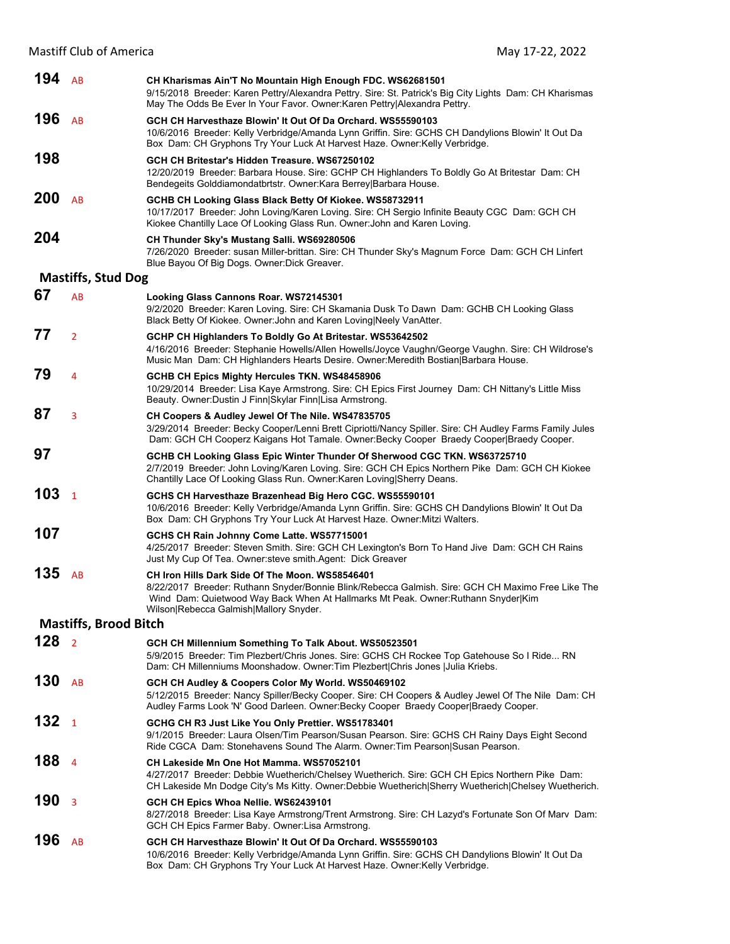| 194        | AB                           | CH Kharismas Ain'T No Mountain High Enough FDC. WS62681501<br>9/15/2018 Breeder: Karen Pettry/Alexandra Pettry. Sire: St. Patrick's Big City Lights Dam: CH Kharismas<br>May The Odds Be Ever In Your Favor. Owner: Karen Pettry Alexandra Pettry.       |
|------------|------------------------------|----------------------------------------------------------------------------------------------------------------------------------------------------------------------------------------------------------------------------------------------------------|
| 196        | AB                           | GCH CH Harvesthaze Blowin' It Out Of Da Orchard. WS55590103<br>10/6/2016 Breeder: Kelly Verbridge/Amanda Lynn Griffin. Sire: GCHS CH Dandylions Blowin' It Out Da<br>Box Dam: CH Gryphons Try Your Luck At Harvest Haze. Owner: Kelly Verbridge.         |
| 198        |                              | GCH CH Britestar's Hidden Treasure. WS67250102<br>12/20/2019 Breeder: Barbara House. Sire: GCHP CH Highlanders To Boldly Go At Britestar Dam: CH<br>Bendegeits Golddiamondatbrtstr. Owner: Kara Berrey Barbara House.                                    |
| <b>200</b> | AB                           | GCHB CH Looking Glass Black Betty Of Kiokee. WS58732911<br>10/17/2017 Breeder: John Loving/Karen Loving. Sire: CH Sergio Infinite Beauty CGC Dam: GCH CH<br>Kiokee Chantilly Lace Of Looking Glass Run. Owner: John and Karen Loving.                    |
| 204        |                              | CH Thunder Sky's Mustang Salli. WS69280506<br>7/26/2020 Breeder: susan Miller-brittan. Sire: CH Thunder Sky's Magnum Force Dam: GCH CH Linfert<br>Blue Bayou Of Big Dogs. Owner: Dick Greaver.                                                           |
|            | <b>Mastiffs, Stud Dog</b>    |                                                                                                                                                                                                                                                          |
| 67         | AB                           | Looking Glass Cannons Roar. WS72145301<br>9/2/2020 Breeder: Karen Loving. Sire: CH Skamania Dusk To Dawn Dam: GCHB CH Looking Glass<br>Black Betty Of Kiokee. Owner: John and Karen Loving Neely Van Atter.                                              |
| 77         | $\overline{2}$               | GCHP CH Highlanders To Boldly Go At Britestar. WS53642502<br>4/16/2016 Breeder: Stephanie Howells/Allen Howells/Joyce Vaughn/George Vaughn. Sire: CH Wildrose's<br>Music Man Dam: CH Highlanders Hearts Desire. Owner: Meredith Bostian Barbara House.   |
| 79         | 4                            | <b>GCHB CH Epics Mighty Hercules TKN. WS48458906</b><br>10/29/2014 Breeder: Lisa Kaye Armstrong. Sire: CH Epics First Journey Dam: CH Nittany's Little Miss<br>Beauty. Owner: Dustin J Finn Skylar Finn Lisa Armstrong.                                  |
| 87         | 3                            | CH Coopers & Audley Jewel Of The Nile. WS47835705<br>3/29/2014 Breeder: Becky Cooper/Lenni Brett Cipriotti/Nancy Spiller. Sire: CH Audley Farms Family Jules<br>Dam: GCH CH Cooperz Kaigans Hot Tamale. Owner: Becky Cooper Braedy Cooper Braedy Cooper. |
| 97         |                              | GCHB CH Looking Glass Epic Winter Thunder Of Sherwood CGC TKN. WS63725710<br>2/7/2019 Breeder: John Loving/Karen Loving. Sire: GCH CH Epics Northern Pike Dam: GCH CH Kiokee<br>Chantilly Lace Of Looking Glass Run. Owner: Karen Loving Sherry Deans.   |
| 103        | $\mathbf{1}$                 | GCHS CH Harvesthaze Brazenhead Big Hero CGC. WS55590101<br>10/6/2016 Breeder: Kelly Verbridge/Amanda Lynn Griffin. Sire: GCHS CH Dandylions Blowin' It Out Da<br>Box Dam: CH Gryphons Try Your Luck At Harvest Haze. Owner: Mitzi Walters.               |
| 107        |                              | GCHS CH Rain Johnny Come Latte. WS57715001<br>4/25/2017 Breeder: Steven Smith. Sire: GCH CH Lexington's Born To Hand Jive Dam: GCH CH Rains<br>Just My Cup Of Tea. Owner: steve smith. Agent: Dick Greaver                                               |
| 135        | AB                           | CH Iron Hills Dark Side Of The Moon. WS58546401<br>8/22/2017 Breeder: Ruthann Snyder/Bonnie Blink/Rebecca Galmish. Sire: GCH CH Maximo Free Like The<br>Wind Dam: Quietwood Way Back When At Hallmarks Mt Peak. Owner: Ruthann Snyder Kim                |
|            |                              | Wilson Rebecca Galmish Mallory Snyder.                                                                                                                                                                                                                   |
|            | <b>Mastiffs, Brood Bitch</b> |                                                                                                                                                                                                                                                          |
| 128        | $\overline{2}$               | GCH CH Millennium Something To Talk About. WS50523501<br>5/9/2015 Breeder: Tim Plezbert/Chris Jones. Sire: GCHS CH Rockee Top Gatehouse So I Ride RN<br>Dam: CH Millenniums Moonshadow. Owner: Tim Plezbert Chris Jones   Julia Kriebs.                  |
| 130        | AB                           | GCH CH Audley & Coopers Color My World. WS50469102<br>5/12/2015 Breeder: Nancy Spiller/Becky Cooper. Sire: CH Coopers & Audley Jewel Of The Nile Dam: CH<br>Audley Farms Look 'N' Good Darleen. Owner: Becky Cooper Braedy Cooper Braedy Cooper.         |
| 132        | $\mathbf{1}$                 | GCHG CH R3 Just Like You Only Prettier. WS51783401<br>9/1/2015 Breeder: Laura Olsen/Tim Pearson/Susan Pearson. Sire: GCHS CH Rainy Days Eight Second<br>Ride CGCA Dam: Stonehavens Sound The Alarm. Owner: Tim Pearson Susan Pearson.                    |
| 188        | $\overline{4}$               | CH Lakeside Mn One Hot Mamma. WS57052101<br>4/27/2017 Breeder: Debbie Wuetherich/Chelsey Wuetherich. Sire: GCH CH Epics Northern Pike Dam:<br>CH Lakeside Mn Dodge City's Ms Kitty. Owner:Debbie Wuetherich Sherry Wuetherich Chelsey Wuetherich.        |
| 190        | 3                            | GCH CH Epics Whoa Nellie. WS62439101<br>8/27/2018 Breeder: Lisa Kaye Armstrong/Trent Armstrong. Sire: CH Lazyd's Fortunate Son Of Marv Dam:<br>GCH CH Epics Farmer Baby. Owner: Lisa Armstrong.                                                          |
| 196        | AB                           | GCH CH Harvesthaze Blowin' It Out Of Da Orchard. WS55590103<br>10/6/2016 Breeder: Kelly Verbridge/Amanda Lynn Griffin. Sire: GCHS CH Dandylions Blowin' It Out Da<br>Box Dam: CH Gryphons Try Your Luck At Harvest Haze. Owner: Kelly Verbridge.         |